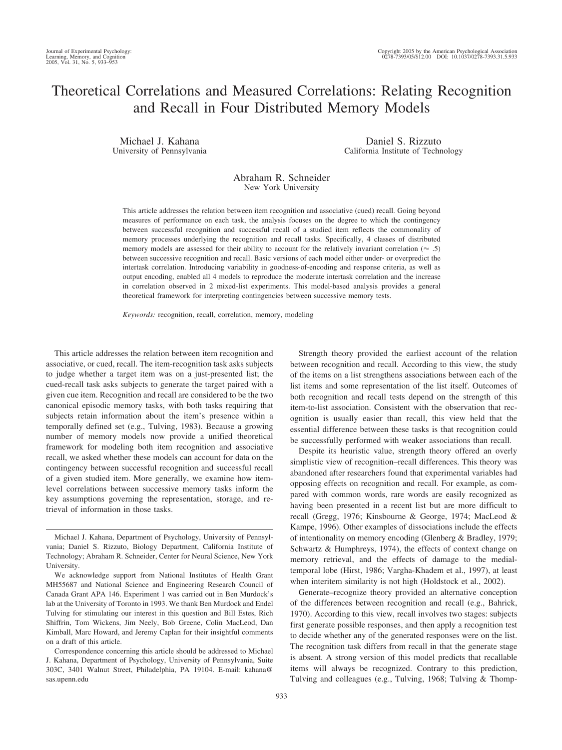# Theoretical Correlations and Measured Correlations: Relating Recognition and Recall in Four Distributed Memory Models

Michael J. Kahana University of Pennsylvania

Daniel S. Rizzuto California Institute of Technology

# Abraham R. Schneider New York University

This article addresses the relation between item recognition and associative (cued) recall. Going beyond measures of performance on each task, the analysis focuses on the degree to which the contingency between successful recognition and successful recall of a studied item reflects the commonality of memory processes underlying the recognition and recall tasks. Specifically, 4 classes of distributed memory models are assessed for their ability to account for the relatively invariant correlation ( $\approx$  .5) between successive recognition and recall. Basic versions of each model either under- or overpredict the intertask correlation. Introducing variability in goodness-of-encoding and response criteria, as well as output encoding, enabled all 4 models to reproduce the moderate intertask correlation and the increase in correlation observed in 2 mixed-list experiments. This model-based analysis provides a general theoretical framework for interpreting contingencies between successive memory tests.

*Keywords:* recognition, recall, correlation, memory, modeling

This article addresses the relation between item recognition and associative, or cued, recall. The item-recognition task asks subjects to judge whether a target item was on a just-presented list; the cued-recall task asks subjects to generate the target paired with a given cue item. Recognition and recall are considered to be the two canonical episodic memory tasks, with both tasks requiring that subjects retain information about the item's presence within a temporally defined set (e.g., Tulving, 1983). Because a growing number of memory models now provide a unified theoretical framework for modeling both item recognition and associative recall, we asked whether these models can account for data on the contingency between successful recognition and successful recall of a given studied item. More generally, we examine how itemlevel correlations between successive memory tasks inform the key assumptions governing the representation, storage, and retrieval of information in those tasks.

Correspondence concerning this article should be addressed to Michael J. Kahana, Department of Psychology, University of Pennsylvania, Suite 303C, 3401 Walnut Street, Philadelphia, PA 19104. E-mail: kahana@ sas.upenn.edu

Strength theory provided the earliest account of the relation between recognition and recall. According to this view, the study of the items on a list strengthens associations between each of the list items and some representation of the list itself. Outcomes of both recognition and recall tests depend on the strength of this item-to-list association. Consistent with the observation that recognition is usually easier than recall, this view held that the essential difference between these tasks is that recognition could be successfully performed with weaker associations than recall.

Despite its heuristic value, strength theory offered an overly simplistic view of recognition–recall differences. This theory was abandoned after researchers found that experimental variables had opposing effects on recognition and recall. For example, as compared with common words, rare words are easily recognized as having been presented in a recent list but are more difficult to recall (Gregg, 1976; Kinsbourne & George, 1974; MacLeod & Kampe, 1996). Other examples of dissociations include the effects of intentionality on memory encoding (Glenberg & Bradley, 1979; Schwartz & Humphreys, 1974), the effects of context change on memory retrieval, and the effects of damage to the medialtemporal lobe (Hirst, 1986; Vargha-Khadem et al., 1997), at least when interitem similarity is not high (Holdstock et al., 2002).

Generate–recognize theory provided an alternative conception of the differences between recognition and recall (e.g., Bahrick, 1970). According to this view, recall involves two stages: subjects first generate possible responses, and then apply a recognition test to decide whether any of the generated responses were on the list. The recognition task differs from recall in that the generate stage is absent. A strong version of this model predicts that recallable items will always be recognized. Contrary to this prediction, Tulving and colleagues (e.g., Tulving, 1968; Tulving & Thomp-

Michael J. Kahana, Department of Psychology, University of Pennsylvania; Daniel S. Rizzuto, Biology Department, California Institute of Technology; Abraham R. Schneider, Center for Neural Science, New York University.

We acknowledge support from National Institutes of Health Grant MH55687 and National Science and Engineering Research Council of Canada Grant APA 146. Experiment 1 was carried out in Ben Murdock's lab at the University of Toronto in 1993. We thank Ben Murdock and Endel Tulving for stimulating our interest in this question and Bill Estes, Rich Shiffrin, Tom Wickens, Jim Neely, Bob Greene, Colin MacLeod, Dan Kimball, Marc Howard, and Jeremy Caplan for their insightful comments on a draft of this article.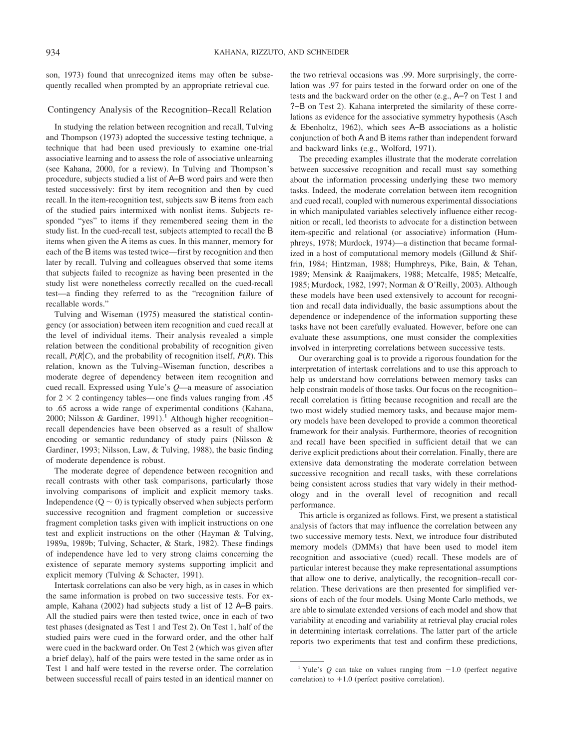son, 1973) found that unrecognized items may often be subsequently recalled when prompted by an appropriate retrieval cue.

# Contingency Analysis of the Recognition–Recall Relation

In studying the relation between recognition and recall, Tulving and Thompson (1973) adopted the successive testing technique, a technique that had been used previously to examine one-trial associative learning and to assess the role of associative unlearning (see Kahana, 2000, for a review). In Tulving and Thompson's procedure, subjects studied a list of A–B word pairs and were then tested successively: first by item recognition and then by cued recall. In the item-recognition test, subjects saw B items from each of the studied pairs intermixed with nonlist items. Subjects responded "yes" to items if they remembered seeing them in the study list. In the cued-recall test, subjects attempted to recall the B items when given the A items as cues. In this manner, memory for each of the B items was tested twice—first by recognition and then later by recall. Tulving and colleagues observed that some items that subjects failed to recognize as having been presented in the study list were nonetheless correctly recalled on the cued-recall test—a finding they referred to as the "recognition failure of recallable words."

Tulving and Wiseman (1975) measured the statistical contingency (or association) between item recognition and cued recall at the level of individual items. Their analysis revealed a simple relation between the conditional probability of recognition given recall,  $P(R|C)$ , and the probability of recognition itself,  $P(R)$ . This relation, known as the Tulving–Wiseman function, describes a moderate degree of dependency between item recognition and cued recall. Expressed using Yule's *Q*—a measure of association for  $2 \times 2$  contingency tables—one finds values ranging from .45 to .65 across a wide range of experimental conditions (Kahana, 2000; Nilsson & Gardiner, 1991).<sup>1</sup> Although higher recognition– recall dependencies have been observed as a result of shallow encoding or semantic redundancy of study pairs (Nilsson & Gardiner, 1993; Nilsson, Law, & Tulving, 1988), the basic finding of moderate dependence is robust.

The moderate degree of dependence between recognition and recall contrasts with other task comparisons, particularly those involving comparisons of implicit and explicit memory tasks. Independence  $(Q \sim 0)$  is typically observed when subjects perform successive recognition and fragment completion or successive fragment completion tasks given with implicit instructions on one test and explicit instructions on the other (Hayman & Tulving, 1989a, 1989b; Tulving, Schacter, & Stark, 1982). These findings of independence have led to very strong claims concerning the existence of separate memory systems supporting implicit and explicit memory (Tulving & Schacter, 1991).

Intertask correlations can also be very high, as in cases in which the same information is probed on two successive tests. For example, Kahana (2002) had subjects study a list of 12 A–B pairs. All the studied pairs were then tested twice, once in each of two test phases (designated as Test 1 and Test 2). On Test 1, half of the studied pairs were cued in the forward order, and the other half were cued in the backward order. On Test 2 (which was given after a brief delay), half of the pairs were tested in the same order as in Test 1 and half were tested in the reverse order. The correlation between successful recall of pairs tested in an identical manner on the two retrieval occasions was .99. More surprisingly, the correlation was .97 for pairs tested in the forward order on one of the tests and the backward order on the other (e.g., A–? on Test 1 and ?–B on Test 2). Kahana interpreted the similarity of these correlations as evidence for the associative symmetry hypothesis (Asch & Ebenholtz, 1962), which sees A–B associations as a holistic conjunction of both A and B items rather than independent forward and backward links (e.g., Wolford, 1971).

The preceding examples illustrate that the moderate correlation between successive recognition and recall must say something about the information processing underlying these two memory tasks. Indeed, the moderate correlation between item recognition and cued recall, coupled with numerous experimental dissociations in which manipulated variables selectively influence either recognition or recall, led theorists to advocate for a distinction between item-specific and relational (or associative) information (Humphreys, 1978; Murdock, 1974)—a distinction that became formalized in a host of computational memory models (Gillund & Shiffrin, 1984; Hintzman, 1988; Humphreys, Pike, Bain, & Tehan, 1989; Mensink & Raaijmakers, 1988; Metcalfe, 1985; Metcalfe, 1985; Murdock, 1982, 1997; Norman & O'Reilly, 2003). Although these models have been used extensively to account for recognition and recall data individually, the basic assumptions about the dependence or independence of the information supporting these tasks have not been carefully evaluated. However, before one can evaluate these assumptions, one must consider the complexities involved in interpreting correlations between successive tests.

Our overarching goal is to provide a rigorous foundation for the interpretation of intertask correlations and to use this approach to help us understand how correlations between memory tasks can help constrain models of those tasks. Our focus on the recognition– recall correlation is fitting because recognition and recall are the two most widely studied memory tasks, and because major memory models have been developed to provide a common theoretical framework for their analysis. Furthermore, theories of recognition and recall have been specified in sufficient detail that we can derive explicit predictions about their correlation. Finally, there are extensive data demonstrating the moderate correlation between successive recognition and recall tasks, with these correlations being consistent across studies that vary widely in their methodology and in the overall level of recognition and recall performance.

This article is organized as follows. First, we present a statistical analysis of factors that may influence the correlation between any two successive memory tests. Next, we introduce four distributed memory models (DMMs) that have been used to model item recognition and associative (cued) recall. These models are of particular interest because they make representational assumptions that allow one to derive, analytically, the recognition–recall correlation. These derivations are then presented for simplified versions of each of the four models. Using Monte Carlo methods, we are able to simulate extended versions of each model and show that variability at encoding and variability at retrieval play crucial roles in determining intertask correlations. The latter part of the article reports two experiments that test and confirm these predictions,

<sup>&</sup>lt;sup>1</sup> Yule's *Q* can take on values ranging from  $-1.0$  (perfect negative correlation) to  $+1.0$  (perfect positive correlation).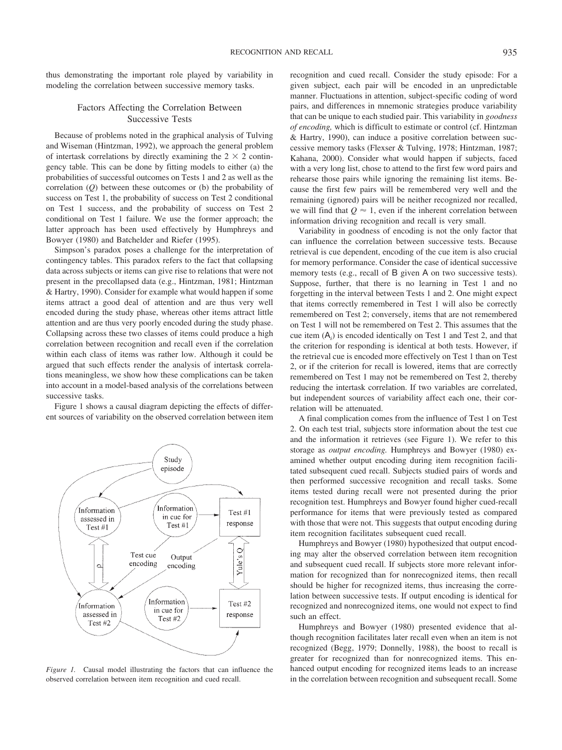thus demonstrating the important role played by variability in modeling the correlation between successive memory tasks.

# Factors Affecting the Correlation Between Successive Tests

Because of problems noted in the graphical analysis of Tulving and Wiseman (Hintzman, 1992), we approach the general problem of intertask correlations by directly examining the  $2 \times 2$  contingency table. This can be done by fitting models to either (a) the probabilities of successful outcomes on Tests 1 and 2 as well as the correlation (*Q*) between these outcomes or (b) the probability of success on Test 1, the probability of success on Test 2 conditional on Test 1 success, and the probability of success on Test 2 conditional on Test 1 failure. We use the former approach; the latter approach has been used effectively by Humphreys and Bowyer (1980) and Batchelder and Riefer (1995).

Simpson's paradox poses a challenge for the interpretation of contingency tables. This paradox refers to the fact that collapsing data across subjects or items can give rise to relations that were not present in the precollapsed data (e.g., Hintzman, 1981; Hintzman & Hartry, 1990). Consider for example what would happen if some items attract a good deal of attention and are thus very well encoded during the study phase, whereas other items attract little attention and are thus very poorly encoded during the study phase. Collapsing across these two classes of items could produce a high correlation between recognition and recall even if the correlation within each class of items was rather low. Although it could be argued that such effects render the analysis of intertask correlations meaningless, we show how these complications can be taken into account in a model-based analysis of the correlations between successive tasks.

Figure 1 shows a causal diagram depicting the effects of different sources of variability on the observed correlation between item



*Figure 1.* Causal model illustrating the factors that can influence the observed correlation between item recognition and cued recall.

recognition and cued recall. Consider the study episode: For a given subject, each pair will be encoded in an unpredictable manner. Fluctuations in attention, subject-specific coding of word pairs, and differences in mnemonic strategies produce variability that can be unique to each studied pair. This variability in *goodness of encoding,* which is difficult to estimate or control (cf. Hintzman & Hartry, 1990), can induce a positive correlation between successive memory tasks (Flexser & Tulving, 1978; Hintzman, 1987; Kahana, 2000). Consider what would happen if subjects, faced with a very long list, chose to attend to the first few word pairs and rehearse those pairs while ignoring the remaining list items. Because the first few pairs will be remembered very well and the remaining (ignored) pairs will be neither recognized nor recalled, we will find that  $Q \approx 1$ , even if the inherent correlation between information driving recognition and recall is very small.

Variability in goodness of encoding is not the only factor that can influence the correlation between successive tests. Because retrieval is cue dependent, encoding of the cue item is also crucial for memory performance. Consider the case of identical successive memory tests (e.g., recall of B given A on two successive tests). Suppose, further, that there is no learning in Test 1 and no forgetting in the interval between Tests 1 and 2. One might expect that items correctly remembered in Test 1 will also be correctly remembered on Test 2; conversely, items that are not remembered on Test 1 will not be remembered on Test 2. This assumes that the cue item (A*<sup>i</sup>* ) is encoded identically on Test 1 and Test 2, and that the criterion for responding is identical at both tests. However, if the retrieval cue is encoded more effectively on Test 1 than on Test 2, or if the criterion for recall is lowered, items that are correctly remembered on Test 1 may not be remembered on Test 2, thereby reducing the intertask correlation. If two variables are correlated, but independent sources of variability affect each one, their correlation will be attenuated.

A final complication comes from the influence of Test 1 on Test 2. On each test trial, subjects store information about the test cue and the information it retrieves (see Figure 1). We refer to this storage as *output encoding.* Humphreys and Bowyer (1980) examined whether output encoding during item recognition facilitated subsequent cued recall. Subjects studied pairs of words and then performed successive recognition and recall tasks. Some items tested during recall were not presented during the prior recognition test. Humphreys and Bowyer found higher cued-recall performance for items that were previously tested as compared with those that were not. This suggests that output encoding during item recognition facilitates subsequent cued recall.

Humphreys and Bowyer (1980) hypothesized that output encoding may alter the observed correlation between item recognition and subsequent cued recall. If subjects store more relevant information for recognized than for nonrecognized items, then recall should be higher for recognized items, thus increasing the correlation between successive tests. If output encoding is identical for recognized and nonrecognized items, one would not expect to find such an effect.

Humphreys and Bowyer (1980) presented evidence that although recognition facilitates later recall even when an item is not recognized (Begg, 1979; Donnelly, 1988), the boost to recall is greater for recognized than for nonrecognized items. This enhanced output encoding for recognized items leads to an increase in the correlation between recognition and subsequent recall. Some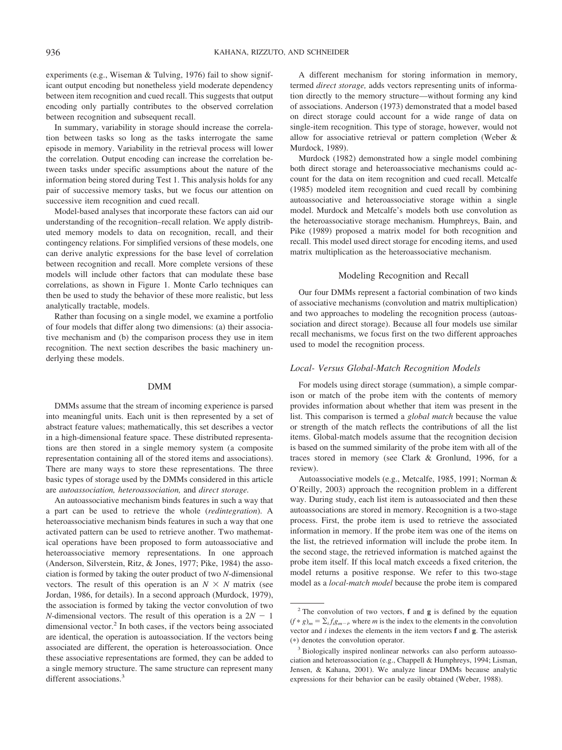experiments (e.g., Wiseman & Tulving, 1976) fail to show significant output encoding but nonetheless yield moderate dependency between item recognition and cued recall. This suggests that output encoding only partially contributes to the observed correlation between recognition and subsequent recall.

In summary, variability in storage should increase the correlation between tasks so long as the tasks interrogate the same episode in memory. Variability in the retrieval process will lower the correlation. Output encoding can increase the correlation between tasks under specific assumptions about the nature of the information being stored during Test 1. This analysis holds for any pair of successive memory tasks, but we focus our attention on successive item recognition and cued recall.

Model-based analyses that incorporate these factors can aid our understanding of the recognition–recall relation. We apply distributed memory models to data on recognition, recall, and their contingency relations. For simplified versions of these models, one can derive analytic expressions for the base level of correlation between recognition and recall. More complete versions of these models will include other factors that can modulate these base correlations, as shown in Figure 1. Monte Carlo techniques can then be used to study the behavior of these more realistic, but less analytically tractable, models.

Rather than focusing on a single model, we examine a portfolio of four models that differ along two dimensions: (a) their associative mechanism and (b) the comparison process they use in item recognition. The next section describes the basic machinery underlying these models.

### DMM

DMMs assume that the stream of incoming experience is parsed into meaningful units. Each unit is then represented by a set of abstract feature values; mathematically, this set describes a vector in a high-dimensional feature space. These distributed representations are then stored in a single memory system (a composite representation containing all of the stored items and associations). There are many ways to store these representations. The three basic types of storage used by the DMMs considered in this article are *autoassociation, heteroassociation,* and *direct storage.*

An autoassociative mechanism binds features in such a way that a part can be used to retrieve the whole (*redintegration*). A heteroassociative mechanism binds features in such a way that one activated pattern can be used to retrieve another. Two mathematical operations have been proposed to form autoassociative and heteroassociative memory representations. In one approach (Anderson, Silverstein, Ritz, & Jones, 1977; Pike, 1984) the association is formed by taking the outer product of two *N*-dimensional vectors. The result of this operation is an  $N \times N$  matrix (see Jordan, 1986, for details). In a second approach (Murdock, 1979), the association is formed by taking the vector convolution of two *N*-dimensional vectors. The result of this operation is a  $2N - 1$ dimensional vector. $2 \text{ In both cases, if the vectors being associated}$ are identical, the operation is autoassociation. If the vectors being associated are different, the operation is heteroassociation. Once these associative representations are formed, they can be added to a single memory structure. The same structure can represent many different associations.<sup>3</sup>

A different mechanism for storing information in memory, termed *direct storage,* adds vectors representing units of information directly to the memory structure—without forming any kind of associations. Anderson (1973) demonstrated that a model based on direct storage could account for a wide range of data on single-item recognition. This type of storage, however, would not allow for associative retrieval or pattern completion (Weber & Murdock, 1989).

Murdock (1982) demonstrated how a single model combining both direct storage and heteroassociative mechanisms could account for the data on item recognition and cued recall. Metcalfe (1985) modeled item recognition and cued recall by combining autoassociative and heteroassociative storage within a single model. Murdock and Metcalfe's models both use convolution as the heteroassociative storage mechanism. Humphreys, Bain, and Pike (1989) proposed a matrix model for both recognition and recall. This model used direct storage for encoding items, and used matrix multiplication as the heteroassociative mechanism.

### Modeling Recognition and Recall

Our four DMMs represent a factorial combination of two kinds of associative mechanisms (convolution and matrix multiplication) and two approaches to modeling the recognition process (autoassociation and direct storage). Because all four models use similar recall mechanisms, we focus first on the two different approaches used to model the recognition process.

## *Local- Versus Global-Match Recognition Models*

For models using direct storage (summation), a simple comparison or match of the probe item with the contents of memory provides information about whether that item was present in the list. This comparison is termed a *global match* because the value or strength of the match reflects the contributions of all the list items. Global-match models assume that the recognition decision is based on the summed similarity of the probe item with all of the traces stored in memory (see Clark & Gronlund, 1996, for a review).

Autoassociative models (e.g., Metcalfe, 1985, 1991; Norman & O'Reilly, 2003) approach the recognition problem in a different way. During study, each list item is autoassociated and then these autoassociations are stored in memory. Recognition is a two-stage process. First, the probe item is used to retrieve the associated information in memory. If the probe item was one of the items on the list, the retrieved information will include the probe item. In the second stage, the retrieved information is matched against the probe item itself. If this local match exceeds a fixed criterion, the model returns a positive response. We refer to this two-stage model as a *local-match model* because the probe item is compared

<sup>2</sup> The convolution of two vectors, **f** and **g** is defined by the equation  $(f * g)_m = \sum_i f_i g_{m-i}$ , where *m* is the index to the elements in the convolution vector and *i* indexes the elements in the item vectors **f** and **g**. The asterisk (\*) denotes the convolution operator.

<sup>&</sup>lt;sup>3</sup> Biologically inspired nonlinear networks can also perform autoassociation and heteroassociation (e.g., Chappell & Humphreys, 1994; Lisman, Jensen, & Kahana, 2001). We analyze linear DMMs because analytic expressions for their behavior can be easily obtained (Weber, 1988).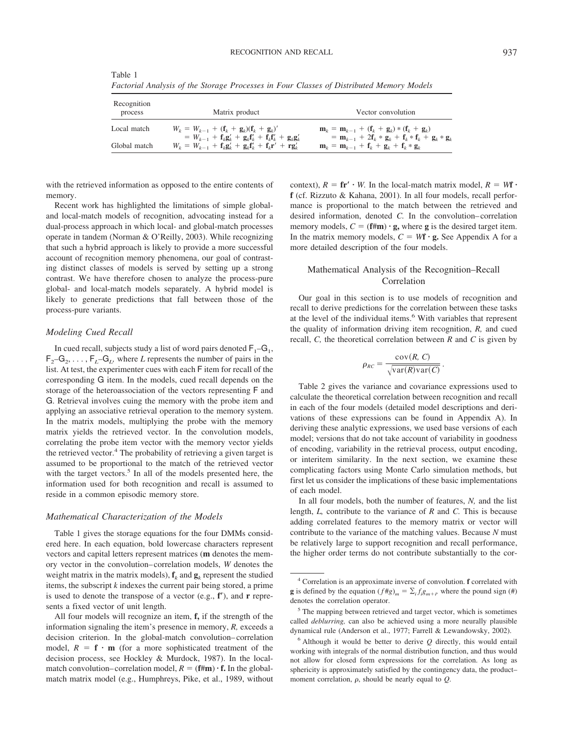| anie<br>× |  |
|-----------|--|
|-----------|--|

|  |  |  | Factorial Analysis of the Storage Processes in Four Classes of Distributed Memory Models |  |
|--|--|--|------------------------------------------------------------------------------------------|--|
|--|--|--|------------------------------------------------------------------------------------------|--|

| Recognition<br>process | Matrix product                                                                                                                  | Vector convolution                                                                                                          |
|------------------------|---------------------------------------------------------------------------------------------------------------------------------|-----------------------------------------------------------------------------------------------------------------------------|
| Local match            | $W_{k} = W_{k-1} + (\mathbf{f}_{k} + \mathbf{g}_{k})(\mathbf{f}_{k} + \mathbf{g}_{k})'$                                         | $m_k = m_{k-1} + (f_k + g_k) * (f_k + g_k)$                                                                                 |
|                        | $W_{k-1} + \mathbf{f}_k \mathbf{g}'_k + \mathbf{g}_k \mathbf{f}'_k + \mathbf{f}_k \mathbf{f}'_k + \mathbf{g}_k \mathbf{g}'_k$   | $=$ m <sub>k-1</sub> + 2f <sub>k</sub> * g <sub>k</sub> + f <sub>k</sub> * f <sub>k</sub> + g <sub>k</sub> * g <sub>k</sub> |
| Global match           | $W_k = W_{k-1} + \mathbf{f}_k \mathbf{g}'_k + \mathbf{g}_k \mathbf{f}'_k + \mathbf{f}_k \mathbf{r}' + \mathbf{r} \mathbf{g}'_k$ | $\mathbf{m}_k = \mathbf{m}_{k-1} + \mathbf{f}_k + \mathbf{g}_k + \mathbf{f}_k * \mathbf{g}_k$                               |

with the retrieved information as opposed to the entire contents of memory.

Recent work has highlighted the limitations of simple globaland local-match models of recognition, advocating instead for a dual-process approach in which local- and global-match processes operate in tandem (Norman & O'Reilly, 2003). While recognizing that such a hybrid approach is likely to provide a more successful account of recognition memory phenomena, our goal of contrasting distinct classes of models is served by setting up a strong contrast. We have therefore chosen to analyze the process-pure global- and local-match models separately. A hybrid model is likely to generate predictions that fall between those of the process-pure variants.

## *Modeling Cued Recall*

In cued recall, subjects study a list of word pairs denoted  $F_1-G_1$ ,  $F_2-G_2,\ldots, F_L-G_L$ , where *L* represents the number of pairs in the list. At test, the experimenter cues with each F item for recall of the corresponding G item. In the models, cued recall depends on the storage of the heteroassociation of the vectors representing F and G. Retrieval involves cuing the memory with the probe item and applying an associative retrieval operation to the memory system. In the matrix models, multiplying the probe with the memory matrix yields the retrieved vector. In the convolution models, correlating the probe item vector with the memory vector yields the retrieved vector.<sup>4</sup> The probability of retrieving a given target is assumed to be proportional to the match of the retrieved vector with the target vectors.<sup>5</sup> In all of the models presented here, the information used for both recognition and recall is assumed to reside in a common episodic memory store.

#### *Mathematical Characterization of the Models*

Table 1 gives the storage equations for the four DMMs considered here. In each equation, bold lowercase characters represent vectors and capital letters represent matrices (**m** denotes the memory vector in the convolution–correlation models, *W* denotes the weight matrix in the matrix models),  $f_k$  and  $g_k$  represent the studied items, the subscript *k* indexes the current pair being stored, a prime is used to denote the transpose of a vector (e.g., **f'**), and **r** represents a fixed vector of unit length.

All four models will recognize an item, **f,** if the strength of the information signaling the item's presence in memory, *R,* exceeds a decision criterion. In the global-match convolution–correlation model,  $R = f \cdot m$  (for a more sophisticated treatment of the decision process, see Hockley & Murdock, 1987). In the localmatch convolution–correlation model,  $R = (\textbf{f} \# \textbf{m}) \cdot \textbf{f}$ . In the globalmatch matrix model (e.g., Humphreys, Pike, et al., 1989, without

context),  $R = fr' \cdot W$ . In the local-match matrix model,  $R = Wf \cdot W$ **f** (cf. Rizzuto & Kahana, 2001). In all four models, recall performance is proportional to the match between the retrieved and desired information, denoted *C.* In the convolution–correlation memory models,  $C = (\mathbf{f} \# \mathbf{m}) \cdot \mathbf{g}$ , where **g** is the desired target item. In the matrix memory models,  $C = Wf \cdot g$ . See Appendix A for a more detailed description of the four models.

# Mathematical Analysis of the Recognition–Recall Correlation

Our goal in this section is to use models of recognition and recall to derive predictions for the correlation between these tasks at the level of the individual items.<sup>6</sup> With variables that represent the quality of information driving item recognition, *R,* and cued recall, *C,* the theoretical correlation between *R* and *C* is given by

$$
\rho_{RC} = \frac{\text{cov}(R, C)}{\sqrt{\text{var}(R)\text{var}(C)}}
$$

.

Table 2 gives the variance and covariance expressions used to calculate the theoretical correlation between recognition and recall in each of the four models (detailed model descriptions and derivations of these expressions can be found in Appendix A). In deriving these analytic expressions, we used base versions of each model; versions that do not take account of variability in goodness of encoding, variability in the retrieval process, output encoding, or interitem similarity. In the next section, we examine these complicating factors using Monte Carlo simulation methods, but first let us consider the implications of these basic implementations of each model.

In all four models, both the number of features, *N,* and the list length, *L,* contribute to the variance of *R* and *C.* This is because adding correlated features to the memory matrix or vector will contribute to the variance of the matching values. Because *N* must be relatively large to support recognition and recall performance, the higher order terms do not contribute substantially to the cor-

<sup>4</sup> Correlation is an approximate inverse of convolution. **f** correlated with **g** is defined by the equation  $(f \# g)_m = \sum_i f_i g_{m+i}$ , where the pound sign (#) denotes the correlation operator.

<sup>5</sup> The mapping between retrieved and target vector, which is sometimes called *deblurring,* can also be achieved using a more neurally plausible dynamical rule (Anderson et al., 1977; Farrell & Lewandowsky, 2002).

 $6$  Although it would be better to derive  $Q$  directly, this would entail working with integrals of the normal distribution function, and thus would not allow for closed form expressions for the correlation. As long as sphericity is approximately satisfied by the contingency data, the product– moment correlation,  $\rho$ , should be nearly equal to  $Q$ .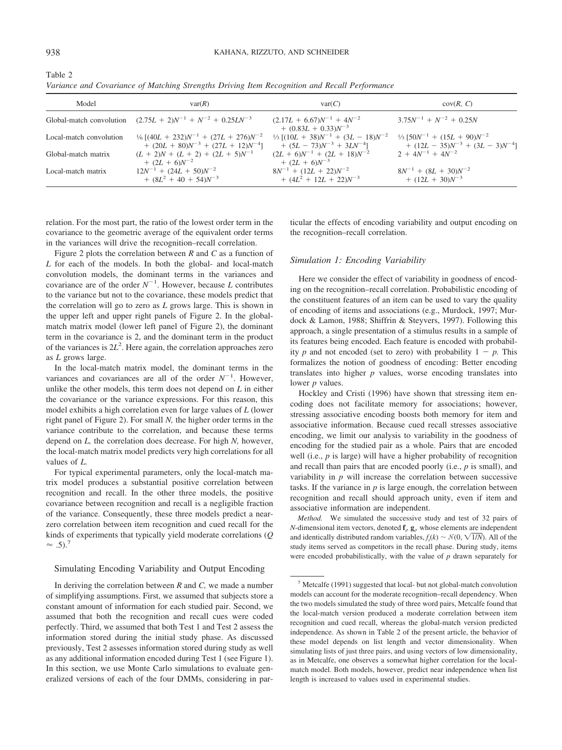Table 2

| variance and Covariance of matching strengths Driving Hem Recognition and Recall Ferjormance |                                                                                                 |                                                                                                         |                                                                                                |  |  |  |  |  |  |  |
|----------------------------------------------------------------------------------------------|-------------------------------------------------------------------------------------------------|---------------------------------------------------------------------------------------------------------|------------------------------------------------------------------------------------------------|--|--|--|--|--|--|--|
| Model                                                                                        | var(R)                                                                                          | var(C)                                                                                                  | cov(R, C)                                                                                      |  |  |  |  |  |  |  |
|                                                                                              | Global-match convolution $(2.75L + 2)N^{-1} + N^{-2} + 0.25LN^{-3}$                             | $(2.17L + 6.67)N^{-1} + 4N^{-2}$<br>$+(0.83L + 0.33)N^{-3}$                                             | $3.75N^{-1} + N^{-2} + 0.25N$                                                                  |  |  |  |  |  |  |  |
| Local-match convolution                                                                      | $\frac{1}{6}[(40L + 232)N^{-1} + (27L + 276)N^{-2}]$<br>$+ (20L + 80)N^{-3} + (27L + 12)N^{-4}$ | $\frac{1}{3}$ [(10L + 38)N <sup>-1</sup> + (3L - 18)N <sup>-2</sup><br>$+ (5L - 73)N^{-3} + 3LN^{-4}$ ] | $\frac{1}{3}$ [50N <sup>-1</sup> + (15L + 90)N <sup>-2</sup><br>$+(12L-35)N^{-3}+(3L-3)N^{-4}$ |  |  |  |  |  |  |  |
| Global-match matrix                                                                          | $(L + 2)N + (L + 2) + (2L + 5)N^{-1}$<br>$+ (2L + 6)N^{-2}$                                     | $(2L + 6)N^{-1} + (2L + 18)N^{-2}$<br>+ $(2L + 6)N^{-3}$                                                | $2 + 4N^{-1} + 4N^{-2}$                                                                        |  |  |  |  |  |  |  |
| Local-match matrix                                                                           | $12N^{-1}$ + $(24L + 50)N^{-2}$<br>$+ (8L^2 + 40 + 54)N^{-3}$                                   | $8N^{-1}$ + $(12L + 22)N^{-2}$<br>$+(4L^2+12L+22)N^{-3}$                                                | $8N^{-1} + (8L + 30)N^{-2}$<br>$+$ (12L + 30) $N^{-3}$                                         |  |  |  |  |  |  |  |

*Variance and Covariance of Matching Strengths Driving Item Recognition and Recall Performance*

relation. For the most part, the ratio of the lowest order term in the covariance to the geometric average of the equivalent order terms in the variances will drive the recognition–recall correlation.

Figure 2 plots the correlation between *R* and *C* as a function of *L* for each of the models. In both the global- and local-match convolution models, the dominant terms in the variances and covariance are of the order  $N^{-1}$ . However, because *L* contributes to the variance but not to the covariance, these models predict that the correlation will go to zero as *L* grows large. This is shown in the upper left and upper right panels of Figure 2. In the globalmatch matrix model (lower left panel of Figure 2), the dominant term in the covariance is 2, and the dominant term in the product of the variances is  $2L^2$ . Here again, the correlation approaches zero as *L* grows large.

In the local-match matrix model, the dominant terms in the variances and covariances are all of the order  $N^{-1}$ . However, unlike the other models, this term does not depend on *L* in either the covariance or the variance expressions. For this reason, this model exhibits a high correlation even for large values of *L* (lower right panel of Figure 2). For small *N,* the higher order terms in the variance contribute to the correlation, and because these terms depend on *L,* the correlation does decrease. For high *N,* however, the local-match matrix model predicts very high correlations for all values of *L.*

For typical experimental parameters, only the local-match matrix model produces a substantial positive correlation between recognition and recall. In the other three models, the positive covariance between recognition and recall is a negligible fraction of the variance. Consequently, these three models predict a nearzero correlation between item recognition and cued recall for the kinds of experiments that typically yield moderate correlations (*Q*  $\approx .5$ .<sup>7</sup>

### Simulating Encoding Variability and Output Encoding

In deriving the correlation between *R* and *C,* we made a number of simplifying assumptions. First, we assumed that subjects store a constant amount of information for each studied pair. Second, we assumed that both the recognition and recall cues were coded perfectly. Third, we assumed that both Test 1 and Test 2 assess the information stored during the initial study phase. As discussed previously, Test 2 assesses information stored during study as well as any additional information encoded during Test 1 (see Figure 1). In this section, we use Monte Carlo simulations to evaluate generalized versions of each of the four DMMs, considering in particular the effects of encoding variability and output encoding on the recognition–recall correlation.

 $\mathbf{A}$ <sup>1</sup>

## *Simulation 1: Encoding Variability*

Here we consider the effect of variability in goodness of encoding on the recognition–recall correlation. Probabilistic encoding of the constituent features of an item can be used to vary the quality of encoding of items and associations (e.g., Murdock, 1997; Murdock & Lamon, 1988; Shiffrin & Steyvers, 1997). Following this approach, a single presentation of a stimulus results in a sample of its features being encoded. Each feature is encoded with probability *p* and not encoded (set to zero) with probability  $1 - p$ . This formalizes the notion of goodness of encoding: Better encoding translates into higher *p* values, worse encoding translates into lower *p* values.

Hockley and Cristi (1996) have shown that stressing item encoding does not facilitate memory for associations; however, stressing associative encoding boosts both memory for item and associative information. Because cued recall stresses associative encoding, we limit our analysis to variability in the goodness of encoding for the studied pair as a whole. Pairs that are encoded well (i.e., *p* is large) will have a higher probability of recognition and recall than pairs that are encoded poorly (i.e., *p* is small), and variability in *p* will increase the correlation between successive tasks. If the variance in  $p$  is large enough, the correlation between recognition and recall should approach unity, even if item and associative information are independent.

*Method.* We simulated the successive study and test of 32 pairs of *N*-dimensional item vectors, denoted  $f_i$ ,  $g_i$ , whose elements are independent and identically distributed random variables,  $f_i(k) \sim \mathcal{N}(0, \sqrt{1/N})$ . All of the study items served as competitors in the recall phase. During study, items were encoded probabilistically, with the value of *p* drawn separately for

<sup>7</sup> Metcalfe (1991) suggested that local- but not global-match convolution models can account for the moderate recognition–recall dependency. When the two models simulated the study of three word pairs, Metcalfe found that the local-match version produced a moderate correlation between item recognition and cued recall, whereas the global-match version predicted independence. As shown in Table 2 of the present article, the behavior of these model depends on list length and vector dimensionality. When simulating lists of just three pairs, and using vectors of low dimensionality, as in Metcalfe, one observes a somewhat higher correlation for the localmatch model. Both models, however, predict near independence when list length is increased to values used in experimental studies.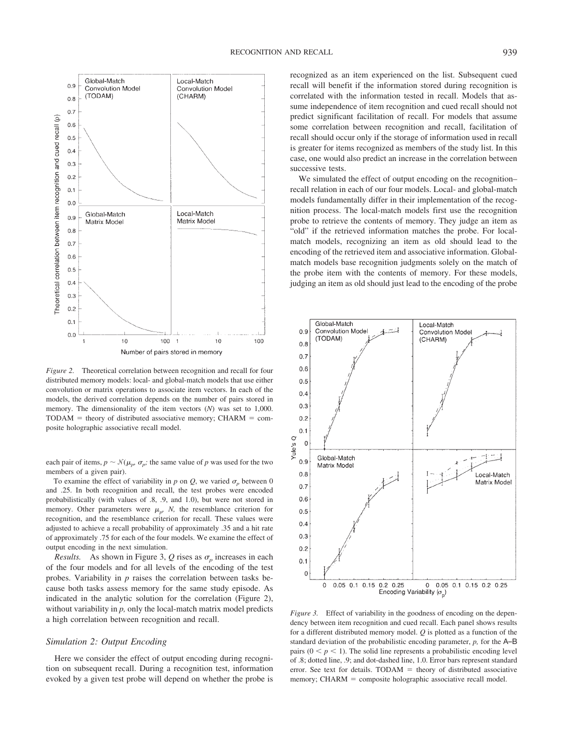

*Figure 2.* Theoretical correlation between recognition and recall for four distributed memory models: local- and global-match models that use either convolution or matrix operations to associate item vectors. In each of the models, the derived correlation depends on the number of pairs stored in memory. The dimensionality of the item vectors (*N*) was set to 1,000.  $TODAM =$  theory of distributed associative memory; CHARM = composite holographic associative recall model.

each pair of items,  $p \sim \mathcal{N}(\mu_p, \sigma_p)$ ; the same value of *p* was used for the two members of a given pair).

To examine the effect of variability in  $p$  on  $Q$ , we varied  $\sigma_p$  between 0 and .25. In both recognition and recall, the test probes were encoded probabilistically (with values of .8, .9, and 1.0), but were not stored in memory. Other parameters were  $\mu_p$ , N, the resemblance criterion for recognition, and the resemblance criterion for recall. These values were adjusted to achieve a recall probability of approximately .35 and a hit rate of approximately .75 for each of the four models. We examine the effect of output encoding in the next simulation.

*Results.* As shown in Figure 3, Q rises as  $\sigma_p$  increases in each of the four models and for all levels of the encoding of the test probes. Variability in *p* raises the correlation between tasks because both tasks assess memory for the same study episode. As indicated in the analytic solution for the correlation (Figure 2), without variability in *p,* only the local-match matrix model predicts a high correlation between recognition and recall.

### *Simulation 2: Output Encoding*

Here we consider the effect of output encoding during recognition on subsequent recall. During a recognition test, information evoked by a given test probe will depend on whether the probe is recognized as an item experienced on the list. Subsequent cued recall will benefit if the information stored during recognition is correlated with the information tested in recall. Models that assume independence of item recognition and cued recall should not predict significant facilitation of recall. For models that assume some correlation between recognition and recall, facilitation of recall should occur only if the storage of information used in recall is greater for items recognized as members of the study list. In this case, one would also predict an increase in the correlation between successive tests.

We simulated the effect of output encoding on the recognition– recall relation in each of our four models. Local- and global-match models fundamentally differ in their implementation of the recognition process. The local-match models first use the recognition probe to retrieve the contents of memory. They judge an item as "old" if the retrieved information matches the probe. For localmatch models, recognizing an item as old should lead to the encoding of the retrieved item and associative information. Globalmatch models base recognition judgments solely on the match of the probe item with the contents of memory. For these models, judging an item as old should just lead to the encoding of the probe



*Figure 3.* Effect of variability in the goodness of encoding on the dependency between item recognition and cued recall. Each panel shows results for a different distributed memory model. *Q* is plotted as a function of the standard deviation of the probabilistic encoding parameter, *p,* for the A–B pairs  $(0 \le p \le 1)$ . The solid line represents a probabilistic encoding level of .8; dotted line, .9; and dot-dashed line, 1.0. Error bars represent standard error. See text for details.  $TODAM =$  theory of distributed associative memory;  $CHARM = composite holographic associative recall model.$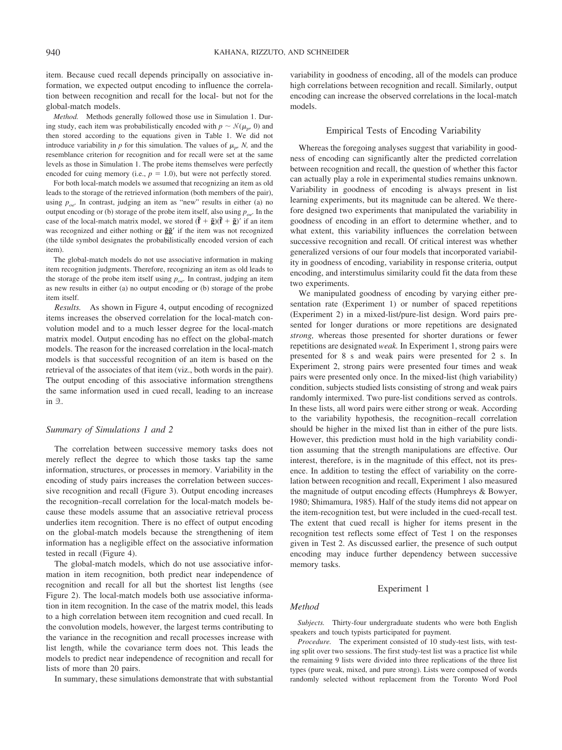item. Because cued recall depends principally on associative information, we expected output encoding to influence the correlation between recognition and recall for the local- but not for the global-match models.

*Method.* Methods generally followed those use in Simulation 1. During study, each item was probabilistically encoded with  $p \sim \mathcal{N}(\mu_p, 0)$  and then stored according to the equations given in Table 1. We did not introduce variability in  $p$  for this simulation. The values of  $\mu_p$ , N, and the resemblance criterion for recognition and for recall were set at the same levels as those in Simulation 1. The probe items themselves were perfectly encoded for cuing memory (i.e.,  $p = 1.0$ ), but were not perfectly stored.

For both local-match models we assumed that recognizing an item as old leads to the storage of the retrieved information (both members of the pair), using  $p_{oe}$ . In contrast, judging an item as "new" results in either (a) no output encoding or (b) storage of the probe item itself, also using  $p_{oe}$ . In the case of the local-match matrix model, we stored  $(\tilde{\mathbf{f}} + \tilde{\mathbf{g}})(\tilde{\mathbf{f}} + \tilde{\mathbf{g}})'$  if an item was recognized and either nothing or  $\tilde{\mathbf{g}}\tilde{\mathbf{g}}'$  if the item was not recognized (the tilde symbol designates the probabilistically encoded version of each item).

The global-match models do not use associative information in making item recognition judgments. Therefore, recognizing an item as old leads to the storage of the probe item itself using  $p_{oe}$ . In contrast, judging an item as new results in either (a) no output encoding or (b) storage of the probe item itself.

*Results.* As shown in Figure 4, output encoding of recognized items increases the observed correlation for the local-match convolution model and to a much lesser degree for the local-match matrix model. Output encoding has no effect on the global-match models. The reason for the increased correlation in the local-match models is that successful recognition of an item is based on the retrieval of the associates of that item (viz., both words in the pair). The output encoding of this associative information strengthens the same information used in cued recall, leading to an increase in 2.

#### *Summary of Simulations 1 and 2*

The correlation between successive memory tasks does not merely reflect the degree to which those tasks tap the same information, structures, or processes in memory. Variability in the encoding of study pairs increases the correlation between successive recognition and recall (Figure 3). Output encoding increases the recognition–recall correlation for the local-match models because these models assume that an associative retrieval process underlies item recognition. There is no effect of output encoding on the global-match models because the strengthening of item information has a negligible effect on the associative information tested in recall (Figure 4).

The global-match models, which do not use associative information in item recognition, both predict near independence of recognition and recall for all but the shortest list lengths (see Figure 2). The local-match models both use associative information in item recognition. In the case of the matrix model, this leads to a high correlation between item recognition and cued recall. In the convolution models, however, the largest terms contributing to the variance in the recognition and recall processes increase with list length, while the covariance term does not. This leads the models to predict near independence of recognition and recall for lists of more than 20 pairs.

In summary, these simulations demonstrate that with substantial

variability in goodness of encoding, all of the models can produce high correlations between recognition and recall. Similarly, output encoding can increase the observed correlations in the local-match models.

## Empirical Tests of Encoding Variability

Whereas the foregoing analyses suggest that variability in goodness of encoding can significantly alter the predicted correlation between recognition and recall, the question of whether this factor can actually play a role in experimental studies remains unknown. Variability in goodness of encoding is always present in list learning experiments, but its magnitude can be altered. We therefore designed two experiments that manipulated the variability in goodness of encoding in an effort to determine whether, and to what extent, this variability influences the correlation between successive recognition and recall. Of critical interest was whether generalized versions of our four models that incorporated variability in goodness of encoding, variability in response criteria, output encoding, and interstimulus similarity could fit the data from these two experiments.

We manipulated goodness of encoding by varying either presentation rate (Experiment 1) or number of spaced repetitions (Experiment 2) in a mixed-list/pure-list design. Word pairs presented for longer durations or more repetitions are designated *strong,* whereas those presented for shorter durations or fewer repetitions are designated *weak.* In Experiment 1, strong pairs were presented for 8 s and weak pairs were presented for 2 s. In Experiment 2, strong pairs were presented four times and weak pairs were presented only once. In the mixed-list (high variability) condition, subjects studied lists consisting of strong and weak pairs randomly intermixed. Two pure-list conditions served as controls. In these lists, all word pairs were either strong or weak. According to the variability hypothesis, the recognition–recall correlation should be higher in the mixed list than in either of the pure lists. However, this prediction must hold in the high variability condition assuming that the strength manipulations are effective. Our interest, therefore, is in the magnitude of this effect, not its presence. In addition to testing the effect of variability on the correlation between recognition and recall, Experiment 1 also measured the magnitude of output encoding effects (Humphreys & Bowyer, 1980; Shimamura, 1985). Half of the study items did not appear on the item-recognition test, but were included in the cued-recall test. The extent that cued recall is higher for items present in the recognition test reflects some effect of Test 1 on the responses given in Test 2. As discussed earlier, the presence of such output encoding may induce further dependency between successive memory tasks.

### Experiment 1

#### *Method*

*Subjects.* Thirty-four undergraduate students who were both English speakers and touch typists participated for payment.

*Procedure.* The experiment consisted of 10 study-test lists, with testing split over two sessions. The first study-test list was a practice list while the remaining 9 lists were divided into three replications of the three list types (pure weak, mixed, and pure strong). Lists were composed of words randomly selected without replacement from the Toronto Word Pool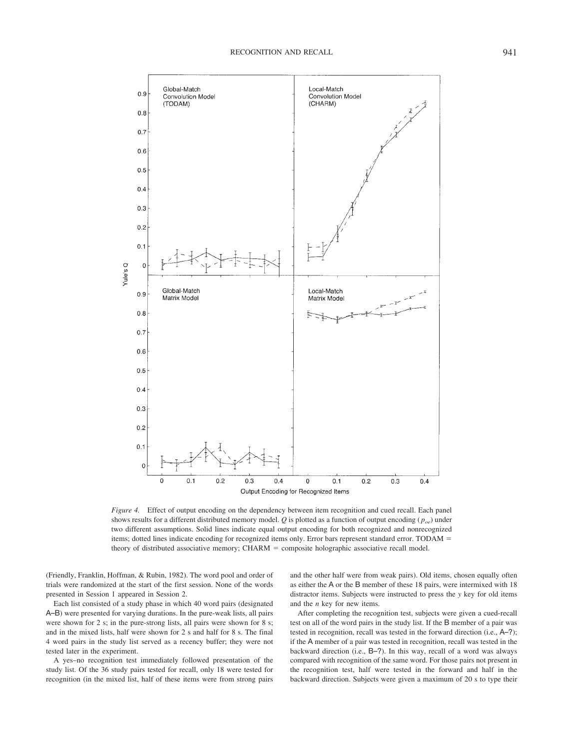

*Figure 4.* Effect of output encoding on the dependency between item recognition and cued recall. Each panel shows results for a different distributed memory model.  $Q$  is plotted as a function of output encoding  $(p_{\alpha e})$  under two different assumptions. Solid lines indicate equal output encoding for both recognized and nonrecognized items; dotted lines indicate encoding for recognized items only. Error bars represent standard error. TODAM theory of distributed associative memory;  $CHARM = composite$  holographic associative recall model.

(Friendly, Franklin, Hoffman, & Rubin, 1982). The word pool and order of trials were randomized at the start of the first session. None of the words presented in Session 1 appeared in Session 2.

Each list consisted of a study phase in which 40 word pairs (designated A–B) were presented for varying durations. In the pure-weak lists, all pairs were shown for 2 s; in the pure-strong lists, all pairs were shown for 8 s; and in the mixed lists, half were shown for 2 s and half for 8 s. The final 4 word pairs in the study list served as a recency buffer; they were not tested later in the experiment.

A yes–no recognition test immediately followed presentation of the study list. Of the 36 study pairs tested for recall, only 18 were tested for recognition (in the mixed list, half of these items were from strong pairs and the other half were from weak pairs). Old items, chosen equally often as either the A or the B member of these 18 pairs, were intermixed with 18 distractor items. Subjects were instructed to press the *y* key for old items and the *n* key for new items.

After completing the recognition test, subjects were given a cued-recall test on all of the word pairs in the study list. If the B member of a pair was tested in recognition, recall was tested in the forward direction (i.e., A–?); if the A member of a pair was tested in recognition, recall was tested in the backward direction (i.e., B–?). In this way, recall of a word was always compared with recognition of the same word. For those pairs not present in the recognition test, half were tested in the forward and half in the backward direction. Subjects were given a maximum of 20 s to type their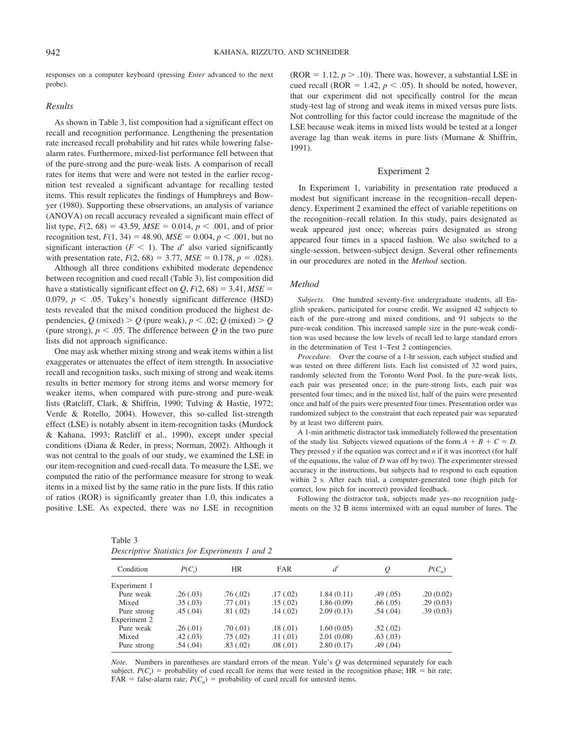responses on a computer keyboard (pressing *Enter* advanced to the next probe).

### *Results*

As shown in Table 3, list composition had a significant effect on recall and recognition performance. Lengthening the presentation rate increased recall probability and hit rates while lowering falsealarm rates. Furthermore, mixed-list performance fell between that of the pure-strong and the pure-weak lists. A comparison of recall rates for items that were and were not tested in the earlier recognition test revealed a significant advantage for recalling tested items. This result replicates the findings of Humphreys and Bowyer (1980). Supporting these observations, an analysis of variance (ANOVA) on recall accuracy revealed a significant main effect of list type,  $F(2, 68) = 43.59$ ,  $MSE = 0.014$ ,  $p < .001$ , and of prior recognition test,  $F(1, 34) = 48.90$ ,  $MSE = 0.004$ ,  $p < .001$ , but no significant interaction  $(F \leq 1)$ . The *d'* also varied significantly with presentation rate,  $F(2, 68) = 3.77$ ,  $MSE = 0.178$ ,  $p = .028$ ).

Although all three conditions exhibited moderate dependence between recognition and cued recall (Table 3), list composition did have a statistically significant effect on  $Q$ ,  $F(2, 68) = 3.41$ ,  $MSE =$ 0.079,  $p < .05$ . Tukey's honestly significant difference (HSD) tests revealed that the mixed condition produced the highest dependencies,  $Q$  (mixed)  $> Q$  (pure weak),  $p < .02$ ;  $Q$  (mixed)  $> Q$ (pure strong),  $p < .05$ . The difference between *Q* in the two pure lists did not approach significance.

One may ask whether mixing strong and weak items within a list exaggerates or attenuates the effect of item strength. In associative recall and recognition tasks, such mixing of strong and weak items results in better memory for strong items and worse memory for weaker items, when compared with pure-strong and pure-weak lists (Ratcliff, Clark, & Shiffrin, 1990; Tulving & Hastie, 1972; Verde & Rotello, 2004). However, this so-called list-strength effect (LSE) is notably absent in item-recognition tasks (Murdock & Kahana, 1993; Ratcliff et al., 1990), except under special conditions (Diana & Reder, in press; Norman, 2002). Although it was not central to the goals of our study, we examined the LSE in our item-recognition and cued-recall data. To measure the LSE, we computed the ratio of the performance measure for strong to weak items in a mixed list by the same ratio in the pure lists. If this ratio of ratios (ROR) is significantly greater than 1.0, this indicates a positive LSE. As expected, there was no LSE in recognition

(ROR =  $1.12$ ,  $p > .10$ ). There was, however, a substantial LSE in cued recall (ROR = 1.42,  $p < .05$ ). It should be noted, however, that our experiment did not specifically control for the mean study-test lag of strong and weak items in mixed versus pure lists. Not controlling for this factor could increase the magnitude of the LSE because weak items in mixed lists would be tested at a longer average lag than weak items in pure lists (Murnane & Shiffrin, 1991).

# Experiment 2

In Experiment 1, variability in presentation rate produced a modest but significant increase in the recognition–recall dependency. Experiment 2 examined the effect of variable repetitions on the recognition–recall relation. In this study, pairs designated as weak appeared just once; whereas pairs designated as strong appeared four times in a spaced fashion. We also switched to a single-session, between-subject design. Several other refinements in our procedures are noted in the *Method* section.

#### *Method*

*Subjects.* One hundred seventy-five undergraduate students, all English speakers, participated for course credit. We assigned 42 subjects to each of the pure-strong and mixed conditions, and 91 subjects to the pure-weak condition. This increased sample size in the pure-weak condition was used because the low levels of recall led to large standard errors in the determination of Test 1–Test 2 contingencies.

*Procedure.* Over the course of a 1-hr session, each subject studied and was tested on three different lists. Each list consisted of 32 word pairs, randomly selected from the Toronto Word Pool. In the pure-weak lists, each pair was presented once; in the pure-strong lists, each pair was presented four times; and in the mixed list, half of the pairs were presented once and half of the pairs were presented four times. Presentation order was randomized subject to the constraint that each repeated pair was separated by at least two different pairs.

A 1-min arithmetic distractor task immediately followed the presentation of the study list. Subjects viewed equations of the form  $A + B + C = D$ . They pressed *y* if the equation was correct and *n* if it was incorrect (for half of the equations, the value of *D* was off by two). The experimenter stressed accuracy in the instructions, but subjects had to respond to each equation within 2 s. After each trial, a computer-generated tone (high pitch for correct, low pitch for incorrect) provided feedback.

Following the distractor task, subjects made yes–no recognition judgments on the 32 B items intermixed with an equal number of lures. The

Table 3 *Descriptive Statistics for Experiments 1 and 2*

|              | Descriptive Statistics for Experiments 1 and 2 |           |           |            |           |           |  |  |  |  |  |  |
|--------------|------------------------------------------------|-----------|-----------|------------|-----------|-----------|--|--|--|--|--|--|
| Condition    | $P(C_t)$                                       | <b>HR</b> | FAR       | d'         | $\varrho$ | $P(C_u)$  |  |  |  |  |  |  |
| Experiment 1 |                                                |           |           |            |           |           |  |  |  |  |  |  |
| Pure weak    | .26(.03)                                       | .76(.02)  | .17(02)   | 1.84(0.11) | .49(0.05) | .20(0.02) |  |  |  |  |  |  |
| Mixed        | .35(.03)                                       | .77(01)   | .15(.02)  | 1.86(0.09) | .66(.05)  | .29(0.03) |  |  |  |  |  |  |
| Pure strong  | .45(.04)                                       | .81(.02)  | .14(02)   | 2.09(0.13) | .54(.04)  | .39(0.03) |  |  |  |  |  |  |
| Experiment 2 |                                                |           |           |            |           |           |  |  |  |  |  |  |
| Pure weak    | .26(.01)                                       | .70(0.01) | .18(0.01) | 1.60(0.05) | .52(.02)  |           |  |  |  |  |  |  |
| Mixed        | .42(.03)                                       | .75(.02)  | .11(0.01) | 2.01(0.08) | .63(0.03) |           |  |  |  |  |  |  |
| Pure strong  | .54(.04)                                       | .83(.02)  | .08(0.01) | 2.80(0.17) | .49(0.04) |           |  |  |  |  |  |  |

*Note.* Numbers in parentheses are standard errors of the mean. Yule's *Q* was determined separately for each subject.  $P(C_t)$  = probability of cued recall for items that were tested in the recognition phase; HR = hit rate; FAR = false-alarm rate;  $P(C_u)$  = probability of cued recall for untested items.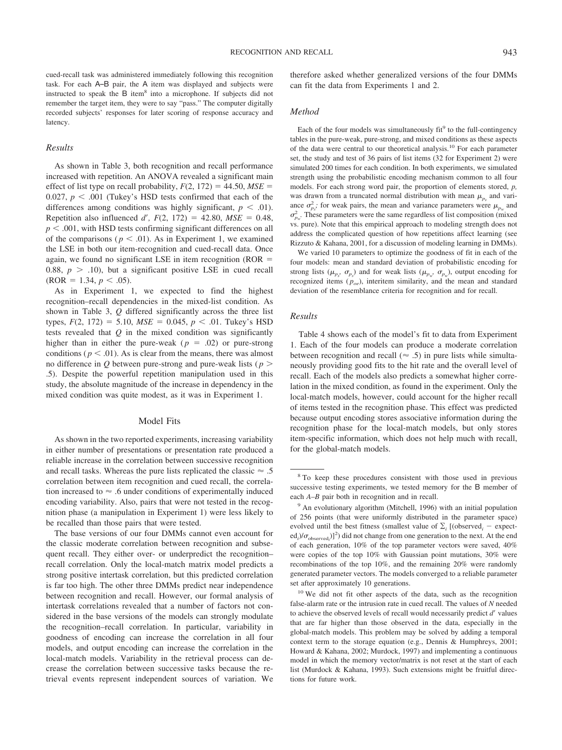cued-recall task was administered immediately following this recognition task. For each A–B pair, the A item was displayed and subjects were instructed to speak the B item<sup>8</sup> into a microphone. If subjects did not remember the target item, they were to say "pass." The computer digitally recorded subjects' responses for later scoring of response accuracy and latency.

### *Results*

As shown in Table 3, both recognition and recall performance increased with repetition. An ANOVA revealed a significant main effect of list type on recall probability,  $F(2, 172) = 44.50$ ,  $MSE =$ 0.027,  $p < .001$  (Tukey's HSD tests confirmed that each of the differences among conditions was highly significant,  $p < .01$ ). Repetition also influenced *d'*,  $F(2, 172) = 42.80, MSE = 0.48,$  $p < .001$ , with HSD tests confirming significant differences on all of the comparisons ( $p < .01$ ). As in Experiment 1, we examined the LSE in both our item-recognition and cued-recall data. Once again, we found no significant LSE in item recognition ( $ROR =$ 0.88,  $p > .10$ ), but a significant positive LSE in cued recall  $(ROR = 1.34, p < .05)$ .

As in Experiment 1, we expected to find the highest recognition–recall dependencies in the mixed-list condition. As shown in Table 3, *Q* differed significantly across the three list types,  $F(2, 172) = 5.10$ ,  $MSE = 0.045$ ,  $p < .01$ . Tukey's HSD tests revealed that *Q* in the mixed condition was significantly higher than in either the pure-weak ( $p = .02$ ) or pure-strong conditions ( $p < .01$ ). As is clear from the means, there was almost no difference in  $Q$  between pure-strong and pure-weak lists ( $p >$ .5). Despite the powerful repetition manipulation used in this study, the absolute magnitude of the increase in dependency in the mixed condition was quite modest, as it was in Experiment 1.

# Model Fits

As shown in the two reported experiments, increasing variability in either number of presentations or presentation rate produced a reliable increase in the correlation between successive recognition and recall tasks. Whereas the pure lists replicated the classic  $\approx .5$ correlation between item recognition and cued recall, the correlation increased to  $\approx$  .6 under conditions of experimentally induced encoding variability. Also, pairs that were not tested in the recognition phase (a manipulation in Experiment 1) were less likely to be recalled than those pairs that were tested.

The base versions of our four DMMs cannot even account for the classic moderate correlation between recognition and subsequent recall. They either over- or underpredict the recognition– recall correlation. Only the local-match matrix model predicts a strong positive intertask correlation, but this predicted correlation is far too high. The other three DMMs predict near independence between recognition and recall. However, our formal analysis of intertask correlations revealed that a number of factors not considered in the base versions of the models can strongly modulate the recognition–recall correlation. In particular, variability in goodness of encoding can increase the correlation in all four models, and output encoding can increase the correlation in the local-match models. Variability in the retrieval process can decrease the correlation between successive tasks because the retrieval events represent independent sources of variation. We therefore asked whether generalized versions of the four DMMs can fit the data from Experiments 1 and 2.

### *Method*

Each of the four models was simultaneously fit<sup>9</sup> to the full-contingency tables in the pure-weak, pure-strong, and mixed conditions as these aspects of the data were central to our theoretical analysis.<sup>10</sup> For each parameter set, the study and test of 36 pairs of list items (32 for Experiment 2) were simulated 200 times for each condition. In both experiments, we simulated strength using the probabilistic encoding mechanism common to all four models. For each strong word pair, the proportion of elements stored, *p,* was drawn from a truncated normal distribution with mean  $\mu_{p_s}$  and variance  $\sigma_{p_s}^2$ ; for weak pairs, the mean and variance parameters were  $\mu_{p_w}$  and  $\sigma_{p_w}^2$ . These parameters were the same regardless of list composition (mixed) vs. pure). Note that this empirical approach to modeling strength does not address the complicated question of how repetitions affect learning (see Rizzuto & Kahana, 2001, for a discussion of modeling learning in DMMs).

We varied 10 parameters to optimize the goodness of fit in each of the four models: mean and standard deviation of probabilistic encoding for strong lists  $(\mu_{p_s}, \sigma_{p_s})$  and for weak lists  $(\mu_{p_{w'}}, \sigma_{p_{w'}})$ , output encoding for recognized items  $(p_{oe})$ , interitem similarity, and the mean and standard deviation of the resemblance criteria for recognition and for recall.

# *Results*

Table 4 shows each of the model's fit to data from Experiment 1. Each of the four models can produce a moderate correlation between recognition and recall ( $\approx$  .5) in pure lists while simultaneously providing good fits to the hit rate and the overall level of recall. Each of the models also predicts a somewhat higher correlation in the mixed condition, as found in the experiment. Only the local-match models, however, could account for the higher recall of items tested in the recognition phase. This effect was predicted because output encoding stores associative information during the recognition phase for the local-match models, but only stores item-specific information, which does not help much with recall, for the global-match models.

<sup>8</sup> To keep these procedures consistent with those used in previous successive testing experiments, we tested memory for the B member of each *A*–*B* pair both in recognition and in recall.

<sup>9</sup> An evolutionary algorithm (Mitchell, 1996) with an initial population of 256 points (that were uniformly distributed in the parameter space) evolved until the best fitness (smallest value of  $\Sigma_i$  [(observed<sub>*i*</sub> – expected<sub>*i</sub>*)/ $\sigma$ <sub>observed<sub>i</sub></sub>)]<sup>2</sup>) did not change from one generation to the next. At the end</sub> of each generation, 10% of the top parameter vectors were saved, 40% were copies of the top 10% with Gaussian point mutations, 30% were recombinations of the top 10%, and the remaining 20% were randomly generated parameter vectors. The models converged to a reliable parameter set after approximately 10 generations.

<sup>&</sup>lt;sup>10</sup> We did not fit other aspects of the data, such as the recognition false-alarm rate or the intrusion rate in cued recall. The values of *N* needed to achieve the observed levels of recall would necessarily predict *d'* values that are far higher than those observed in the data, especially in the global-match models. This problem may be solved by adding a temporal context term to the storage equation (e.g., Dennis & Humphreys, 2001; Howard & Kahana, 2002; Murdock, 1997) and implementing a continuous model in which the memory vector/matrix is not reset at the start of each list (Murdock & Kahana, 1993). Such extensions might be fruitful directions for future work.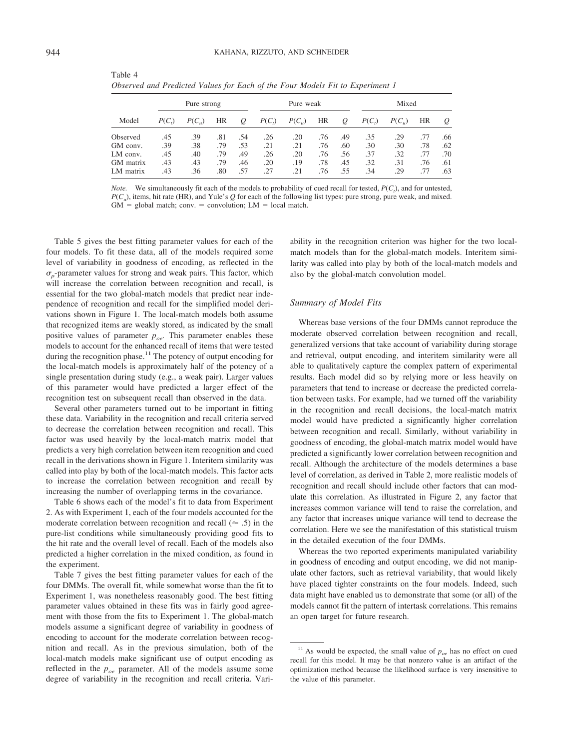Table 4

|           |          | Pure strong |     |     | Pure weak |          |     |     | Mixed    |          |     |                |
|-----------|----------|-------------|-----|-----|-----------|----------|-----|-----|----------|----------|-----|----------------|
| Model     | $P(C_i)$ | $P(C_n)$    | HR  | Q   | $P(C_i)$  | $P(C_u)$ | HR  | Q   | $P(C_t)$ | $P(C_u)$ | HR  | $\overline{Q}$ |
| Observed  | .45      | .39         | .81 | .54 | .26       | .20      | .76 | .49 | .35      | .29      | .77 | .66            |
| GM conv.  | .39      | .38         | .79 | .53 | .21       | .21      | .76 | .60 | .30      | .30      | .78 | .62            |
| LM conv.  | .45      | .40         | .79 | .49 | .26       | .20      | .76 | .56 | .37      | .32      | .77 | .70            |
| GM matrix | .43      | .43         | .79 | .46 | .20       | .19      | .78 | .45 | .32      | .31      | .76 | .61            |
| LM matrix | .43      | .36         | .80 | .57 | .27       | .21      | .76 | .55 | .34      | .29      |     | .63            |

*Observed and Predicted Values for Each of the Four Models Fit to Experiment 1*

Table 5 gives the best fitting parameter values for each of the four models. To fit these data, all of the models required some level of variability in goodness of encoding, as reflected in the  $\sigma_{p}$ -parameter values for strong and weak pairs. This factor, which will increase the correlation between recognition and recall, is essential for the two global-match models that predict near independence of recognition and recall for the simplified model derivations shown in Figure 1. The local-match models both assume that recognized items are weakly stored, as indicated by the small positive values of parameter  $p_{oe}$ . This parameter enables these models to account for the enhanced recall of items that were tested during the recognition phase.<sup>11</sup> The potency of output encoding for the local-match models is approximately half of the potency of a single presentation during study (e.g., a weak pair). Larger values of this parameter would have predicted a larger effect of the recognition test on subsequent recall than observed in the data.

Several other parameters turned out to be important in fitting these data. Variability in the recognition and recall criteria served to decrease the correlation between recognition and recall. This factor was used heavily by the local-match matrix model that predicts a very high correlation between item recognition and cued recall in the derivations shown in Figure 1. Interitem similarity was called into play by both of the local-match models. This factor acts to increase the correlation between recognition and recall by increasing the number of overlapping terms in the covariance.

Table 6 shows each of the model's fit to data from Experiment 2. As with Experiment 1, each of the four models accounted for the moderate correlation between recognition and recall ( $\approx$  .5) in the pure-list conditions while simultaneously providing good fits to the hit rate and the overall level of recall. Each of the models also predicted a higher correlation in the mixed condition, as found in the experiment.

Table 7 gives the best fitting parameter values for each of the four DMMs. The overall fit, while somewhat worse than the fit to Experiment 1, was nonetheless reasonably good. The best fitting parameter values obtained in these fits was in fairly good agreement with those from the fits to Experiment 1. The global-match models assume a significant degree of variability in goodness of encoding to account for the moderate correlation between recognition and recall. As in the previous simulation, both of the local-match models make significant use of output encoding as reflected in the *poe* parameter. All of the models assume some degree of variability in the recognition and recall criteria. Variability in the recognition criterion was higher for the two localmatch models than for the global-match models. Interitem similarity was called into play by both of the local-match models and also by the global-match convolution model.

## *Summary of Model Fits*

Whereas base versions of the four DMMs cannot reproduce the moderate observed correlation between recognition and recall, generalized versions that take account of variability during storage and retrieval, output encoding, and interitem similarity were all able to qualitatively capture the complex pattern of experimental results. Each model did so by relying more or less heavily on parameters that tend to increase or decrease the predicted correlation between tasks. For example, had we turned off the variability in the recognition and recall decisions, the local-match matrix model would have predicted a significantly higher correlation between recognition and recall. Similarly, without variability in goodness of encoding, the global-match matrix model would have predicted a significantly lower correlation between recognition and recall. Although the architecture of the models determines a base level of correlation, as derived in Table 2, more realistic models of recognition and recall should include other factors that can modulate this correlation. As illustrated in Figure 2, any factor that increases common variance will tend to raise the correlation, and any factor that increases unique variance will tend to decrease the correlation. Here we see the manifestation of this statistical truism in the detailed execution of the four DMMs.

Whereas the two reported experiments manipulated variability in goodness of encoding and output encoding, we did not manipulate other factors, such as retrieval variability, that would likely have placed tighter constraints on the four models. Indeed, such data might have enabled us to demonstrate that some (or all) of the models cannot fit the pattern of intertask correlations. This remains an open target for future research.

*Note.* We simultaneously fit each of the models to probability of cued recall for tested,  $P(C_t)$ , and for untested, *P*(*Cu*), items, hit rate (HR), and Yule's *Q* for each of the following list types: pure strong, pure weak, and mixed.  $GM =$  global match; conv. = convolution;  $LM =$  local match.

<sup>&</sup>lt;sup>11</sup> As would be expected, the small value of  $p_{oe}$  has no effect on cued recall for this model. It may be that nonzero value is an artifact of the optimization method because the likelihood surface is very insensitive to the value of this parameter.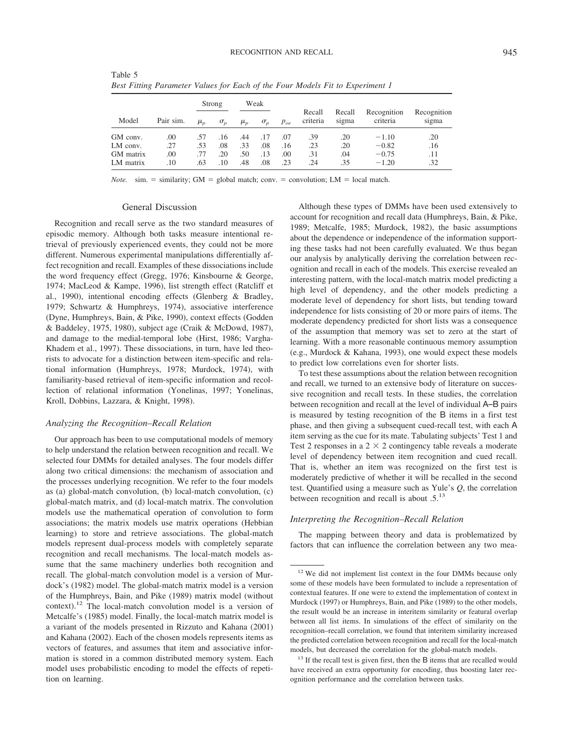|           |           |           | Strong       |           | Weak                            |          | Recall   | Recall | Recognition | Recognition |
|-----------|-----------|-----------|--------------|-----------|---------------------------------|----------|----------|--------|-------------|-------------|
| Model     | Pair sim. | $\mu_{p}$ | $\sigma_{p}$ | $\mu_{p}$ | $\sigma_{\scriptscriptstyle n}$ | $p_{oe}$ | criteria | sigma  | criteria    | sigma       |
| GM conv.  | .00       | .57       | .16          | .44       | .17                             | .07      | .39      | .20    | $-1.10$     | .20         |
| LM conv.  | .27       | .53       | .08          | .33       | .08                             | .16      | .23      | .20    | $-0.82$     | .16         |
| GM matrix | .00       | .77       | .20          | .50       | .13                             | .00      | .31      | .04    | $-0.75$     | .11         |
| LM matrix | .10       | .63       | .10          | .48       | .08                             | .23      | .24      | .35    | $-1.20$     | .32         |

Table 5 *Best Fitting Parameter Values for Each of the Four Models Fit to Experiment 1*

*Note.* sim.  $=$  similarity; GM  $=$  global match; conv.  $=$  convolution; LM  $=$  local match.

### General Discussion

Recognition and recall serve as the two standard measures of episodic memory. Although both tasks measure intentional retrieval of previously experienced events, they could not be more different. Numerous experimental manipulations differentially affect recognition and recall. Examples of these dissociations include the word frequency effect (Gregg, 1976; Kinsbourne & George, 1974; MacLeod & Kampe, 1996), list strength effect (Ratcliff et al., 1990), intentional encoding effects (Glenberg & Bradley, 1979; Schwartz & Humphreys, 1974), associative interference (Dyne, Humphreys, Bain, & Pike, 1990), context effects (Godden & Baddeley, 1975, 1980), subject age (Craik & McDowd, 1987), and damage to the medial-temporal lobe (Hirst, 1986; Vargha-Khadem et al., 1997). These dissociations, in turn, have led theorists to advocate for a distinction between item-specific and relational information (Humphreys, 1978; Murdock, 1974), with familiarity-based retrieval of item-specific information and recollection of relational information (Yonelinas, 1997; Yonelinas, Kroll, Dobbins, Lazzara, & Knight, 1998).

### *Analyzing the Recognition–Recall Relation*

Our approach has been to use computational models of memory to help understand the relation between recognition and recall. We selected four DMMs for detailed analyses. The four models differ along two critical dimensions: the mechanism of association and the processes underlying recognition. We refer to the four models as (a) global-match convolution, (b) local-match convolution, (c) global-match matrix, and (d) local-match matrix. The convolution models use the mathematical operation of convolution to form associations; the matrix models use matrix operations (Hebbian learning) to store and retrieve associations. The global-match models represent dual-process models with completely separate recognition and recall mechanisms. The local-match models assume that the same machinery underlies both recognition and recall. The global-match convolution model is a version of Murdock's (1982) model. The global-match matrix model is a version of the Humphreys, Bain, and Pike (1989) matrix model (without context).12 The local-match convolution model is a version of Metcalfe's (1985) model. Finally, the local-match matrix model is a variant of the models presented in Rizzuto and Kahana (2001) and Kahana (2002). Each of the chosen models represents items as vectors of features, and assumes that item and associative information is stored in a common distributed memory system. Each model uses probabilistic encoding to model the effects of repetition on learning.

Although these types of DMMs have been used extensively to account for recognition and recall data (Humphreys, Bain, & Pike, 1989; Metcalfe, 1985; Murdock, 1982), the basic assumptions about the dependence or independence of the information supporting these tasks had not been carefully evaluated. We thus began our analysis by analytically deriving the correlation between recognition and recall in each of the models. This exercise revealed an interesting pattern, with the local-match matrix model predicting a high level of dependency, and the other models predicting a moderate level of dependency for short lists, but tending toward independence for lists consisting of 20 or more pairs of items. The moderate dependency predicted for short lists was a consequence of the assumption that memory was set to zero at the start of learning. With a more reasonable continuous memory assumption (e.g., Murdock & Kahana, 1993), one would expect these models to predict low correlations even for shorter lists.

To test these assumptions about the relation between recognition and recall, we turned to an extensive body of literature on successive recognition and recall tests. In these studies, the correlation between recognition and recall at the level of individual A–B pairs is measured by testing recognition of the B items in a first test phase, and then giving a subsequent cued-recall test, with each A item serving as the cue for its mate. Tabulating subjects' Test 1 and Test 2 responses in a  $2 \times 2$  contingency table reveals a moderate level of dependency between item recognition and cued recall. That is, whether an item was recognized on the first test is moderately predictive of whether it will be recalled in the second test. Quantified using a measure such as Yule's *Q*, the correlation between recognition and recall is about .5.<sup>13</sup>

### *Interpreting the Recognition–Recall Relation*

The mapping between theory and data is problematized by factors that can influence the correlation between any two mea-

<sup>&</sup>lt;sup>12</sup> We did not implement list context in the four DMMs because only some of these models have been formulated to include a representation of contextual features. If one were to extend the implementation of context in Murdock (1997) or Humphreys, Bain, and Pike (1989) to the other models, the result would be an increase in interitem similarity or featural overlap between all list items. In simulations of the effect of similarity on the recognition–recall correlation, we found that interitem similarity increased the predicted correlation between recognition and recall for the local-match models, but decreased the correlation for the global-match models.

<sup>&</sup>lt;sup>13</sup> If the recall test is given first, then the B items that are recalled would have received an extra opportunity for encoding, thus boosting later recognition performance and the correlation between tasks.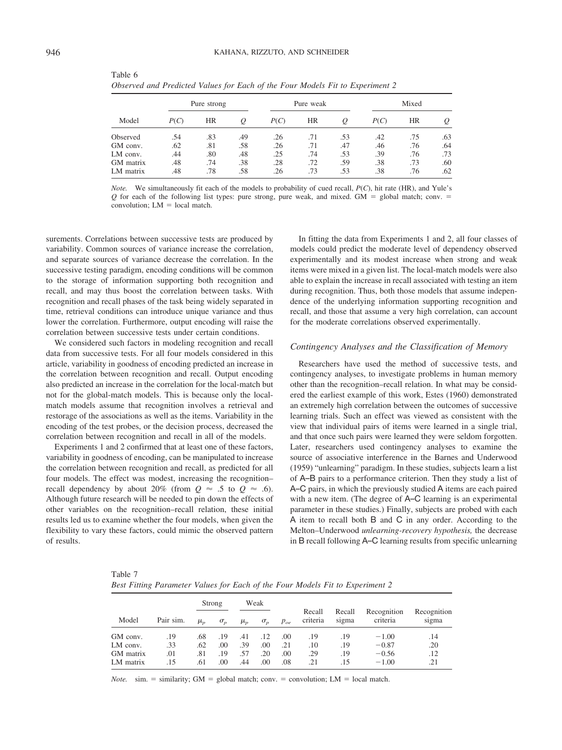Table 6

| Model     |      | Pure strong |          |      | Pure weak |          | Mixed |     |           |
|-----------|------|-------------|----------|------|-----------|----------|-------|-----|-----------|
|           | P(C) | <b>HR</b>   | $\omega$ | P(C) | <b>HR</b> | $\omega$ | P(C)  | HR  | $\varrho$ |
| Observed  | .54  | .83         | .49      | .26  | .71       | .53      | .42   | .75 | .63       |
| GM conv.  | .62  | .81         | .58      | .26  | .71       | .47      | .46   | .76 | .64       |
| LM conv.  | .44  | .80         | .48      | .25  | .74       | .53      | .39   | .76 | .73       |
| GM matrix | .48  | .74         | .38      | .28  | .72       | .59      | .38   | .73 | .60       |
| LM matrix | .48  | .78         | .58      | .26  | .73       | .53      | .38   | .76 | .62       |
|           |      |             |          |      |           |          |       |     |           |

*Observed and Predicted Values for Each of the Four Models Fit to Experiment 2*

*Note.* We simultaneously fit each of the models to probability of cued recall, *P*(*C*), hit rate (HR), and Yule's  $Q$  for each of the following list types: pure strong, pure weak, and mixed. GM = global match; conv. = convolution:  $LM = local match$ .

surements. Correlations between successive tests are produced by variability. Common sources of variance increase the correlation, and separate sources of variance decrease the correlation. In the successive testing paradigm, encoding conditions will be common to the storage of information supporting both recognition and recall, and may thus boost the correlation between tasks. With recognition and recall phases of the task being widely separated in time, retrieval conditions can introduce unique variance and thus lower the correlation. Furthermore, output encoding will raise the correlation between successive tests under certain conditions.

We considered such factors in modeling recognition and recall data from successive tests. For all four models considered in this article, variability in goodness of encoding predicted an increase in the correlation between recognition and recall. Output encoding also predicted an increase in the correlation for the local-match but not for the global-match models. This is because only the localmatch models assume that recognition involves a retrieval and restorage of the associations as well as the items. Variability in the encoding of the test probes, or the decision process, decreased the correlation between recognition and recall in all of the models.

Experiments 1 and 2 confirmed that at least one of these factors, variability in goodness of encoding, can be manipulated to increase the correlation between recognition and recall, as predicted for all four models. The effect was modest, increasing the recognition– recall dependency by about 20% (from  $Q \approx .5$  to  $Q \approx .6$ ). Although future research will be needed to pin down the effects of other variables on the recognition–recall relation, these initial results led us to examine whether the four models, when given the flexibility to vary these factors, could mimic the observed pattern of results.

In fitting the data from Experiments 1 and 2, all four classes of models could predict the moderate level of dependency observed experimentally and its modest increase when strong and weak items were mixed in a given list. The local-match models were also able to explain the increase in recall associated with testing an item during recognition. Thus, both those models that assume independence of the underlying information supporting recognition and recall, and those that assume a very high correlation, can account for the moderate correlations observed experimentally.

### *Contingency Analyses and the Classification of Memory*

Researchers have used the method of successive tests, and contingency analyses, to investigate problems in human memory other than the recognition–recall relation. In what may be considered the earliest example of this work, Estes (1960) demonstrated an extremely high correlation between the outcomes of successive learning trials. Such an effect was viewed as consistent with the view that individual pairs of items were learned in a single trial, and that once such pairs were learned they were seldom forgotten. Later, researchers used contingency analyses to examine the source of associative interference in the Barnes and Underwood (1959) "unlearning" paradigm. In these studies, subjects learn a list of A–B pairs to a performance criterion. Then they study a list of A–C pairs, in which the previously studied A items are each paired with a new item. (The degree of A–C learning is an experimental parameter in these studies.) Finally, subjects are probed with each A item to recall both B and C in any order. According to the Melton–Underwood *unlearning-recovery hypothesis,* the decrease in B recall following A–C learning results from specific unlearning

Table 7

|  |  |  |  |  | Best Fitting Parameter Values for Each of the Four Models Fit to Experiment 2 |  |
|--|--|--|--|--|-------------------------------------------------------------------------------|--|

|           |           |           | Strong       |           | Weak         |          | Recall   | Recall | Recognition | Recognition |
|-----------|-----------|-----------|--------------|-----------|--------------|----------|----------|--------|-------------|-------------|
| Model     | Pair sim. | $\mu_{p}$ | $\sigma_{p}$ | $\mu_{p}$ | $\sigma_{p}$ | $p_{oe}$ | criteria | sigma  | criteria    | sigma       |
| GM conv.  | .19       | .68       | .19          | .41       | .12          | .00      | .19      | .19    | $-1.00$     | .14         |
| LM conv.  | .33       | .62       | .00          | .39       | .00          | .21      | .10      | .19    | $-0.87$     | .20         |
| GM matrix | .01       | .81       | .19          | .57       | .20          | .00      | .29      | .19    | $-0.56$     | .12         |
| LM matrix | .15       | .61       | .00          | .44       | .00          | .08      | .21      | .15    | $-1.00$     | .21         |

*Note.* sim. = similarity;  $GM =$  global match; conv. = convolution;  $LM =$  local match.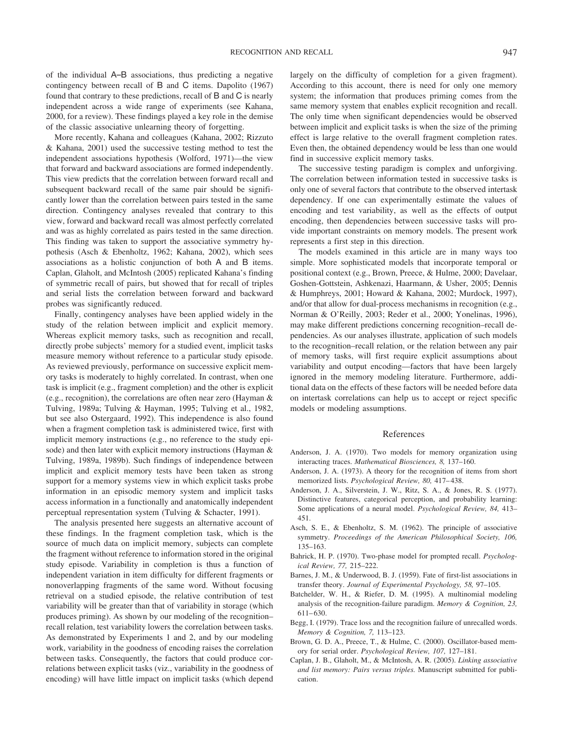of the individual A–B associations, thus predicting a negative contingency between recall of B and C items. Dapolito (1967) found that contrary to these predictions, recall of B and C is nearly independent across a wide range of experiments (see Kahana, 2000, for a review). These findings played a key role in the demise of the classic associative unlearning theory of forgetting.

More recently, Kahana and colleagues (Kahana, 2002; Rizzuto & Kahana, 2001) used the successive testing method to test the independent associations hypothesis (Wolford, 1971)—the view that forward and backward associations are formed independently. This view predicts that the correlation between forward recall and subsequent backward recall of the same pair should be significantly lower than the correlation between pairs tested in the same direction. Contingency analyses revealed that contrary to this view, forward and backward recall was almost perfectly correlated and was as highly correlated as pairs tested in the same direction. This finding was taken to support the associative symmetry hypothesis (Asch & Ebenholtz, 1962; Kahana, 2002), which sees associations as a holistic conjunction of both A and B items. Caplan, Glaholt, and McIntosh (2005) replicated Kahana's finding of symmetric recall of pairs, but showed that for recall of triples and serial lists the correlation between forward and backward probes was significantly reduced.

Finally, contingency analyses have been applied widely in the study of the relation between implicit and explicit memory. Whereas explicit memory tasks, such as recognition and recall, directly probe subjects' memory for a studied event, implicit tasks measure memory without reference to a particular study episode. As reviewed previously, performance on successive explicit memory tasks is moderately to highly correlated. In contrast, when one task is implicit (e.g., fragment completion) and the other is explicit (e.g., recognition), the correlations are often near zero (Hayman & Tulving, 1989a; Tulving & Hayman, 1995; Tulving et al., 1982, but see also Ostergaard, 1992). This independence is also found when a fragment completion task is administered twice, first with implicit memory instructions (e.g., no reference to the study episode) and then later with explicit memory instructions (Hayman & Tulving, 1989a, 1989b). Such findings of independence between implicit and explicit memory tests have been taken as strong support for a memory systems view in which explicit tasks probe information in an episodic memory system and implicit tasks access information in a functionally and anatomically independent perceptual representation system (Tulving & Schacter, 1991).

The analysis presented here suggests an alternative account of these findings. In the fragment completion task, which is the source of much data on implicit memory, subjects can complete the fragment without reference to information stored in the original study episode. Variability in completion is thus a function of independent variation in item difficulty for different fragments or nonoverlapping fragments of the same word. Without focusing retrieval on a studied episode, the relative contribution of test variability will be greater than that of variability in storage (which produces priming). As shown by our modeling of the recognition– recall relation, test variability lowers the correlation between tasks. As demonstrated by Experiments 1 and 2, and by our modeling work, variability in the goodness of encoding raises the correlation between tasks. Consequently, the factors that could produce correlations between explicit tasks (viz., variability in the goodness of encoding) will have little impact on implicit tasks (which depend

largely on the difficulty of completion for a given fragment). According to this account, there is need for only one memory system; the information that produces priming comes from the same memory system that enables explicit recognition and recall. The only time when significant dependencies would be observed between implicit and explicit tasks is when the size of the priming effect is large relative to the overall fragment completion rates. Even then, the obtained dependency would be less than one would find in successive explicit memory tasks.

The successive testing paradigm is complex and unforgiving. The correlation between information tested in successive tasks is only one of several factors that contribute to the observed intertask dependency. If one can experimentally estimate the values of encoding and test variability, as well as the effects of output encoding, then dependencies between successive tasks will provide important constraints on memory models. The present work represents a first step in this direction.

The models examined in this article are in many ways too simple. More sophisticated models that incorporate temporal or positional context (e.g., Brown, Preece, & Hulme, 2000; Davelaar, Goshen-Gottstein, Ashkenazi, Haarmann, & Usher, 2005; Dennis & Humphreys, 2001; Howard & Kahana, 2002; Murdock, 1997), and/or that allow for dual-process mechanisms in recognition (e.g., Norman & O'Reilly, 2003; Reder et al., 2000; Yonelinas, 1996), may make different predictions concerning recognition–recall dependencies. As our analyses illustrate, application of such models to the recognition–recall relation, or the relation between any pair of memory tasks, will first require explicit assumptions about variability and output encoding—factors that have been largely ignored in the memory modeling literature. Furthermore, additional data on the effects of these factors will be needed before data on intertask correlations can help us to accept or reject specific models or modeling assumptions.

#### References

- Anderson, J. A. (1970). Two models for memory organization using interacting traces. *Mathematical Biosciences, 8,* 137–160.
- Anderson, J. A. (1973). A theory for the recognition of items from short memorized lists. *Psychological Review, 80,* 417–438.
- Anderson, J. A., Silverstein, J. W., Ritz, S. A., & Jones, R. S. (1977). Distinctive features, categorical perception, and probability learning: Some applications of a neural model. *Psychological Review, 84,* 413– 451.
- Asch, S. E., & Ebenholtz, S. M. (1962). The principle of associative symmetry. *Proceedings of the American Philosophical Society, 106,* 135–163.
- Bahrick, H. P. (1970). Two-phase model for prompted recall. *Psychological Review, 77,* 215–222.
- Barnes, J. M., & Underwood, B. J. (1959). Fate of first-list associations in transfer theory. *Journal of Experimental Psychology, 58,* 97–105.
- Batchelder, W. H., & Riefer, D. M. (1995). A multinomial modeling analysis of the recognition-failure paradigm. *Memory & Cognition, 23,* 611–630.
- Begg, I. (1979). Trace loss and the recognition failure of unrecalled words. *Memory & Cognition, 7,* 113–123.
- Brown, G. D. A., Preece, T., & Hulme, C. (2000). Oscillator-based memory for serial order. *Psychological Review, 107,* 127–181.
- Caplan, J. B., Glaholt, M., & McIntosh, A. R. (2005). *Linking associative and list memory: Pairs versus triples.* Manuscript submitted for publication.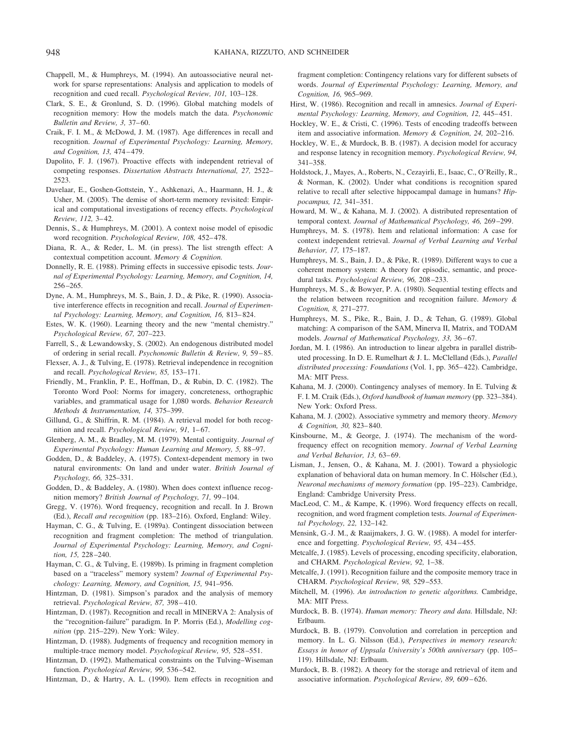- Chappell, M., & Humphreys, M. (1994). An autoassociative neural network for sparse representations: Analysis and application to models of recognition and cued recall. *Psychological Review, 101,* 103–128.
- Clark, S. E., & Gronlund, S. D. (1996). Global matching models of recognition memory: How the models match the data. *Psychonomic Bulletin and Review, 3,* 37–60.
- Craik, F. I. M., & McDowd, J. M. (1987). Age differences in recall and recognition. *Journal of Experimental Psychology: Learning, Memory, and Cognition, 13,* 474–479.
- Dapolito, F. J. (1967). Proactive effects with independent retrieval of competing responses. *Dissertation Abstracts International, 27,* 2522– 2523.
- Davelaar, E., Goshen-Gottstein, Y., Ashkenazi, A., Haarmann, H. J., & Usher, M. (2005). The demise of short-term memory revisited: Empirical and computational investigations of recency effects. *Psychological Review, 112,* 3–42.
- Dennis, S., & Humphreys, M. (2001). A context noise model of episodic word recognition. *Psychological Review, 108,* 452–478.
- Diana, R. A., & Reder, L. M. (in press). The list strength effect: A contextual competition account. *Memory & Cognition.*
- Donnelly, R. E. (1988). Priming effects in successive episodic tests. *Journal of Experimental Psychology: Learning, Memory, and Cognition, 14,* 256–265.
- Dyne, A. M., Humphreys, M. S., Bain, J. D., & Pike, R. (1990). Associative interference effects in recognition and recall. *Journal of Experimental Psychology: Learning, Memory, and Cognition, 16,* 813–824.
- Estes, W. K. (1960). Learning theory and the new "mental chemistry." *Psychological Review, 67,* 207–223.
- Farrell, S., & Lewandowsky, S. (2002). An endogenous distributed model of ordering in serial recall. *Psychonomic Bulletin & Review, 9,* 59–85.
- Flexser, A. J., & Tulving, E. (1978). Retrieval independence in recognition and recall. *Psychological Review, 85,* 153–171.
- Friendly, M., Franklin, P. E., Hoffman, D., & Rubin, D. C. (1982). The Toronto Word Pool: Norms for imagery, concreteness, orthographic variables, and grammatical usage for 1,080 words. *Behavior Research Methods & Instrumentation, 14,* 375–399.
- Gillund, G., & Shiffrin, R. M. (1984). A retrieval model for both recognition and recall. *Psychological Review, 91,* 1–67.
- Glenberg, A. M., & Bradley, M. M. (1979). Mental contiguity. *Journal of Experimental Psychology: Human Learning and Memory, 5,* 88–97.
- Godden, D., & Baddeley, A. (1975). Context-dependent memory in two natural environments: On land and under water. *British Journal of Psychology, 66,* 325–331.
- Godden, D., & Baddeley, A. (1980). When does context influence recognition memory? *British Journal of Psychology, 71,* 99–104.
- Gregg, V. (1976). Word frequency, recognition and recall. In J. Brown (Ed.), *Recall and recognition* (pp. 183–216). Oxford, England: Wiley.
- Hayman, C. G., & Tulving, E. (1989a). Contingent dissociation between recognition and fragment completion: The method of triangulation. *Journal of Experimental Psychology: Learning, Memory, and Cognition, 15,* 228–240.
- Hayman, C. G., & Tulving, E. (1989b). Is priming in fragment completion based on a "traceless" memory system? *Journal of Experimental Psychology: Learning, Memory, and Cognition, 15,* 941–956.
- Hintzman, D. (1981). Simpson's paradox and the analysis of memory retrieval. *Psychological Review, 87,* 398–410.
- Hintzman, D. (1987). Recognition and recall in MINERVA 2: Analysis of the "recognition-failure" paradigm. In P. Morris (Ed.), *Modelling cognition* (pp. 215–229). New York: Wiley.
- Hintzman, D. (1988). Judgments of frequency and recognition memory in multiple-trace memory model. *Psychological Review, 95,* 528–551.
- Hintzman, D. (1992). Mathematical constraints on the Tulving–Wiseman function. *Psychological Review, 99,* 536–542.
- Hintzman, D., & Hartry, A. L. (1990). Item effects in recognition and

fragment completion: Contingency relations vary for different subsets of words. *Journal of Experimental Psychology: Learning, Memory, and Cognition, 16,* 965–969.

- Hirst, W. (1986). Recognition and recall in amnesics. *Journal of Experimental Psychology: Learning, Memory, and Cognition, 12,* 445–451.
- Hockley, W. E., & Cristi, C. (1996). Tests of encoding tradeoffs between item and associative information. *Memory & Cognition, 24,* 202–216.
- Hockley, W. E., & Murdock, B. B. (1987). A decision model for accuracy and response latency in recognition memory. *Psychological Review, 94,* 341–358.
- Holdstock, J., Mayes, A., Roberts, N., Cezayirli, E., Isaac, C., O'Reilly, R., & Norman, K. (2002). Under what conditions is recognition spared relative to recall after selective hippocampal damage in humans? *Hippocampus, 12,* 341–351.
- Howard, M. W., & Kahana, M. J. (2002). A distributed representation of temporal context. *Journal of Mathematical Psychology, 46,* 269–299.
- Humphreys, M. S. (1978). Item and relational information: A case for context independent retrieval. *Journal of Verbal Learning and Verbal Behavior, 17,* 175–187.
- Humphreys, M. S., Bain, J. D., & Pike, R. (1989). Different ways to cue a coherent memory system: A theory for episodic, semantic, and procedural tasks. *Psychological Review, 96,* 208–233.
- Humphreys, M. S., & Bowyer, P. A. (1980). Sequential testing effects and the relation between recognition and recognition failure. *Memory & Cognition, 8,* 271–277.
- Humphreys, M. S., Pike, R., Bain, J. D., & Tehan, G. (1989). Global matching: A comparison of the SAM, Minerva II, Matrix, and TODAM models. *Journal of Mathematical Psychology, 33,* 36–67.
- Jordan, M. I. (1986). An introduction to linear algebra in parallel distributed processing. In D. E. Rumelhart & J. L. McClelland (Eds.), *Parallel distributed processing: Foundations* (Vol. 1, pp. 365–422). Cambridge, MA: MIT Press.
- Kahana, M. J. (2000). Contingency analyses of memory. In E. Tulving & F. I. M. Craik (Eds.), *Oxford handbook of human memory* (pp. 323–384). New York: Oxford Press.
- Kahana, M. J. (2002). Associative symmetry and memory theory. *Memory & Cognition, 30,* 823–840.
- Kinsbourne, M., & George, J. (1974). The mechanism of the wordfrequency effect on recognition memory. *Journal of Verbal Learning and Verbal Behavior, 13,* 63–69.
- Lisman, J., Jensen, O., & Kahana, M. J. (2001). Toward a physiologic explanation of behavioral data on human memory. In C. Hölscher (Ed.), *Neuronal mechanisms of memory formation* (pp. 195–223). Cambridge, England: Cambridge University Press.
- MacLeod, C. M., & Kampe, K. (1996). Word frequency effects on recall, recognition, and word fragment completion tests. *Journal of Experimental Psychology, 22,* 132–142.
- Mensink, G.-J. M., & Raaijmakers, J. G. W. (1988). A model for interference and forgetting. *Psychological Review, 95,* 434–455.
- Metcalfe, J. (1985). Levels of processing, encoding specificity, elaboration, and CHARM. *Psychological Review, 92,* 1–38.
- Metcalfe, J. (1991). Recognition failure and the composite memory trace in CHARM. *Psychological Review, 98,* 529–553.
- Mitchell, M. (1996). *An introduction to genetic algorithms.* Cambridge, MA: MIT Press.
- Murdock, B. B. (1974). *Human memory: Theory and data.* Hillsdale, NJ: Erlbaum.
- Murdock, B. B. (1979). Convolution and correlation in perception and memory. In L. G. Nilsson (Ed.), *Perspectives in memory research: Essays in honor of Uppsala University's 500th anniversary* (pp. 105– 119). Hillsdale, NJ: Erlbaum.
- Murdock, B. B. (1982). A theory for the storage and retrieval of item and associative information. *Psychological Review, 89,* 609–626.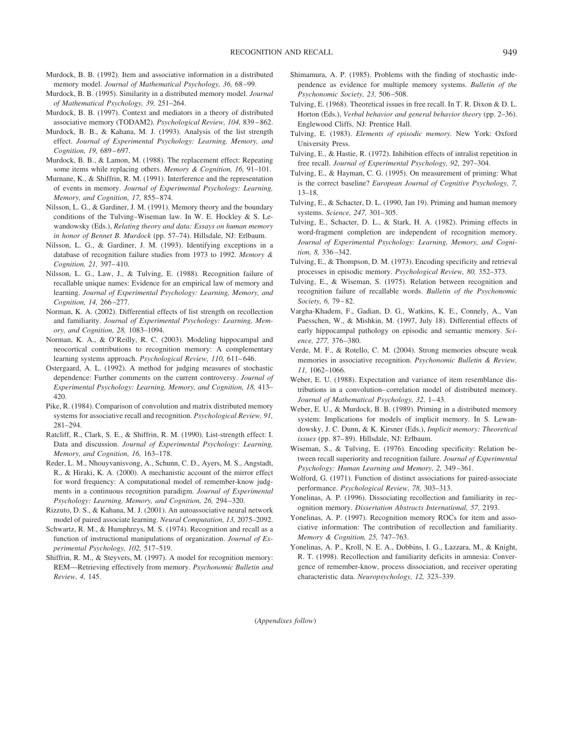- Murdock, B. B. (1992). Item and associative information in a distributed memory model. *Journal of Mathematical Psychology, 36,* 68–99.
- Murdock, B. B. (1995). Similarity in a distributed memory model. *Journal of Mathematical Psychology, 39,* 251–264.
- Murdock, B. B. (1997). Context and mediators in a theory of distributed associative memory (TODAM2). *Psychological Review, 104,* 839–862.
- Murdock, B. B., & Kahana, M. J. (1993). Analysis of the list strength effect. *Journal of Experimental Psychology: Learning, Memory, and Cognition, 19,* 689–697.
- Murdock, B. B., & Lamon, M. (1988). The replacement effect: Repeating some items while replacing others. *Memory & Cognition, 16,* 91–101.
- Murnane, K., & Shiffrin, R. M. (1991). Interference and the representation of events in memory. *Journal of Experimental Psychology: Learning, Memory, and Cognition, 17,* 855–874.
- Nilsson, L. G., & Gardiner, J. M. (1991). Memory theory and the boundary conditions of the Tulving–Wiseman law. In W. E. Hockley & S. Lewandowsky (Eds.), *Relating theory and data: Essays on human memory in honor of Bennet B. Murdock* (pp. 57–74). Hillsdale, NJ: Erlbaum.
- Nilsson, L. G., & Gardiner, J. M. (1993). Identifying exceptions in a database of recognition failure studies from 1973 to 1992. *Memory & Cognition, 21,* 397–410.
- Nilsson, L. G., Law, J., & Tulving, E. (1988). Recognition failure of recallable unique names: Evidence for an empirical law of memory and learning. *Journal of Experimental Psychology: Learning, Memory, and Cognition, 14,* 266–277.
- Norman, K. A. (2002). Differential effects of list strength on recollection and familiarity. *Journal of Experimental Psychology: Learning, Memory, and Cognition, 28,* 1083–1094.
- Norman, K. A., & O'Reilly, R. C. (2003). Modeling hippocampal and neocortical contributions to recognition memory: A complementary learning systems approach. *Psychological Review, 110,* 611–646.
- Ostergaard, A. L. (1992). A method for judging measures of stochastic dependence: Further comments on the current controversy. *Journal of Experimental Psychology: Learning, Memory, and Cognition, 18,* 413– 420.
- Pike, R. (1984). Comparison of convolution and matrix distributed memory systems for associative recall and recognition. *Psychological Review, 91,* 281–294.
- Ratcliff, R., Clark, S. E., & Shiffrin, R. M. (1990). List-strength effect: I. Data and discussion. *Journal of Experimental Psychology: Learning, Memory, and Cognition, 16,* 163–178.
- Reder, L. M., Nhouyvanisvong, A., Schunn, C. D., Ayers, M. S., Angstadt, R., & Hiraki, K. A. (2000). A mechanistic account of the mirror effect for word frequency: A computational model of remember-know judgments in a continuous recognition paradigm. *Journal of Experimental Psychology: Learning, Memory, and Cognition, 26,* 294–320.
- Rizzuto, D. S., & Kahana, M. J. (2001). An autoassociative neural network model of paired associate learning. *Neural Computation, 13,* 2075–2092.
- Schwartz, R. M., & Humphreys, M. S. (1974). Recognition and recall as a function of instructional manipulations of organization. *Journal of Experimental Psychology, 102,* 517–519.
- Shiffrin, R. M., & Steyvers, M. (1997). A model for recognition memory: REM—Retrieving effectively from memory. *Psychonomic Bulletin and Review, 4,* 145.
- Shimamura, A. P. (1985). Problems with the finding of stochastic independence as evidence for multiple memory systems. *Bulletin of the Psychonomic Society, 23,* 506–508.
- Tulving, E. (1968). Theoretical issues in free recall. In T. R. Dixon & D. L. Horton (Eds.), *Verbal behavior and general behavior theory* (pp. 2–36). Englewood Cliffs, NJ: Prentice Hall.
- Tulving, E. (1983). *Elements of episodic memory.* New York: Oxford University Press.
- Tulving, E., & Hastie, R. (1972). Inhibition effects of intralist repetition in free recall. *Journal of Experimental Psychology, 92,* 297–304.
- Tulving, E., & Hayman, C. G. (1995). On measurement of priming: What is the correct baseline? *European Journal of Cognitive Psychology, 7,* 13–18.
- Tulving, E., & Schacter, D. L. (1990, Jan 19). Priming and human memory systems. *Science, 247,* 301–305.
- Tulving, E., Schacter, D. L., & Stark, H. A. (1982). Priming effects in word-fragment completion are independent of recognition memory. *Journal of Experimental Psychology: Learning, Memory, and Cognition, 8,* 336–342.
- Tulving, E., & Thompson, D. M. (1973). Encoding specificity and retrieval processes in episodic memory. *Psychological Review, 80,* 352–373.
- Tulving, E., & Wiseman, S. (1975). Relation between recognition and recognition failure of recallable words. *Bulletin of the Psychonomic Society, 6,* 79–82.
- Vargha-Khadem, F., Gadian, D. G., Watkins, K. E., Connely, A., Van Paesschen, W., & Mishkin, M. (1997, July 18). Differential effects of early hippocampal pathology on episodic and semantic memory. *Science, 277,* 376–380.
- Verde, M. F., & Rotello, C. M. (2004). Strong memories obscure weak memories in associative recognition. *Psychonomic Bulletin & Review, 11,* 1062–1066.
- Weber, E. U. (1988). Expectation and variance of item resemblance distributions in a convolution–correlation model of distributed memory. *Journal of Mathematical Psychology, 32,* 1–43.
- Weber, E. U., & Murdock, B. B. (1989). Priming in a distributed memory system: Implications for models of implicit memory. In S. Lewandowsky, J. C. Dunn, & K. Kirsner (Eds.), *Implicit memory: Theoretical issues* (pp. 87–89). Hillsdale, NJ: Erlbaum.
- Wiseman, S., & Tulving, E. (1976). Encoding specificity: Relation between recall superiority and recognition failure. *Journal of Experimental Psychology: Human Learning and Memory, 2,* 349–361.
- Wolford, G. (1971). Function of distinct associations for paired-associate performance. *Psychological Review, 78,* 303–313.
- Yonelinas, A. P. (1996). Dissociating recollection and familiarity in recognition memory. *Dissertation Abstracts International, 57,* 2193.
- Yonelinas, A. P. (1997). Recognition memory ROCs for item and associative information: The contribution of recollection and familiarity. *Memory & Cognition, 25,* 747–763.
- Yonelinas, A. P., Kroll, N. E. A., Dobbins, I. G., Lazzara, M., & Knight, R. T. (1998). Recollection and familiarity deficits in amnesia: Convergence of remember-know, process dissociation, and receiver operating characteristic data. *Neuropsychology, 12,* 323–339.

(*Appendixes follow*)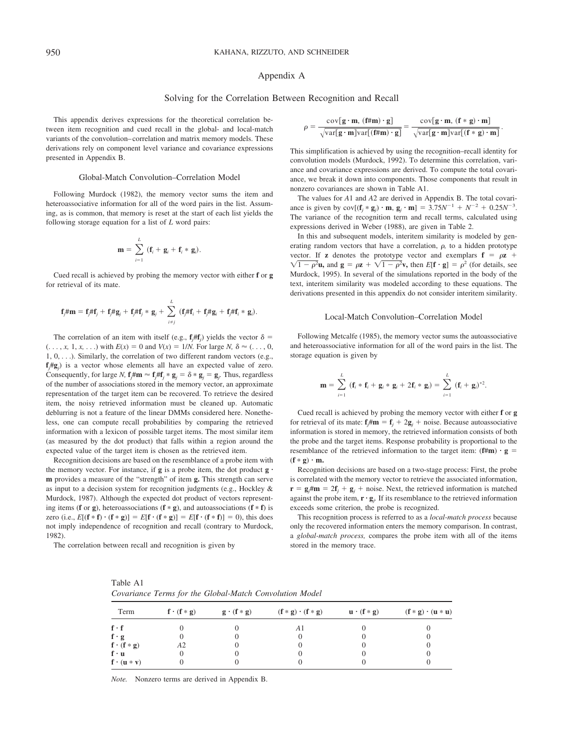### Appendix A

### Solving for the Correlation Between Recognition and Recall

This appendix derives expressions for the theoretical correlation between item recognition and cued recall in the global- and local-match variants of the convolution–correlation and matrix memory models. These derivations rely on component level variance and covariance expressions presented in Appendix B.

#### Global-Match Convolution–Correlation Model

Following Murdock (1982), the memory vector sums the item and heteroassociative information for all of the word pairs in the list. Assuming, as is common, that memory is reset at the start of each list yields the following storage equation for a list of *L* word pairs:

$$
\mathbf{m} = \sum_{i=1}^L (\mathbf{f}_i + \mathbf{g}_i + \mathbf{f}_i * \mathbf{g}_i).
$$

Cued recall is achieved by probing the memory vector with either **f** or **g** for retrieval of its mate.

$$
\mathbf{f}_j \# \mathbf{m} = \mathbf{f}_j \# \mathbf{f}_j + \mathbf{f}_j \# \mathbf{g}_j + \mathbf{f}_j \ast \mathbf{g}_j + \sum_{i \neq j}^{L} (\mathbf{f}_j \# \mathbf{f}_i + \mathbf{f}_j \# \mathbf{g}_i + \mathbf{f}_j \# \mathbf{f}_i \ast \mathbf{g}_i).
$$

The correlation of an item with itself (e.g.,  $f_j \# f_j$ ) yields the vector  $\delta =$  $( \ldots, x, 1, x, \ldots)$  with  $E(x) = 0$  and  $V(x) = 1/N$ . For large N,  $\delta \approx ( \ldots, 0, 1, \ldots)$ 1, 0, . . .). Similarly, the correlation of two different random vectors (e.g., **f***j* #**g***<sup>j</sup>* ) is a vector whose elements all have an expected value of zero. Consequently, for large *N*,  $\mathbf{f}_j \text{#m} \approx \mathbf{f}_j \text{#f}_j * \mathbf{g}_j = \delta * \mathbf{g}_j = \mathbf{g}_j$ . Thus, regardless of the number of associations stored in the memory vector, an approximate representation of the target item can be recovered. To retrieve the desired item, the noisy retrieved information must be cleaned up. Automatic deblurring is not a feature of the linear DMMs considered here. Nonetheless, one can compute recall probabilities by comparing the retrieved information with a lexicon of possible target items. The most similar item (as measured by the dot product) that falls within a region around the expected value of the target item is chosen as the retrieved item.

Recognition decisions are based on the resemblance of a probe item with the memory vector. For instance, if  $g$  is a probe item, the dot product  $g \cdot$ **m** provides a measure of the "strength" of item **g.** This strength can serve as input to a decision system for recognition judgments (e.g., Hockley & Murdock, 1987). Although the expected dot product of vectors representing items (**f** or **g**), heteroassociations (**f**  $*$ **g**), and autoassociations (**f** $*$ **f**) is zero (i.e.,  $E[(\mathbf{f} * \mathbf{f}) \cdot (\mathbf{f} * \mathbf{g})] = E[\mathbf{f} \cdot (\mathbf{f} * \mathbf{g})] = E[\mathbf{f} \cdot (\mathbf{f} * \mathbf{f})] = 0$ ), this does not imply independence of recognition and recall (contrary to Murdock, 1982).

The correlation between recall and recognition is given by

Table A1

$$
\rho = \frac{\text{cov}[g \cdot m, (f \# m) \cdot g]}{\sqrt{\text{var}[g \cdot m] \text{var}[(f \# m) \cdot g]}} = \frac{\text{cov}[g \cdot m, (f * g) \cdot m]}{\sqrt{\text{var}[g \cdot m] \text{var}[(f * g) \cdot m]}}.
$$

This simplification is achieved by using the recognition–recall identity for convolution models (Murdock, 1992). To determine this correlation, variance and covariance expressions are derived. To compute the total covariance, we break it down into components. Those components that result in nonzero covariances are shown in Table A1.

The values for *A*1 and *A*2 are derived in Appendix B. The total covariance is given by  $cov[(\mathbf{f} \mathbf{y} \cdot \mathbf{g} \mathbf{y}) \cdot \mathbf{m}, \mathbf{g} \mathbf{y} \cdot \mathbf{m}] = 3.75N^{-1} + N^{-2} + 0.25N^{-3}$ . The variance of the recognition term and recall terms, calculated using expressions derived in Weber (1988), are given in Table 2.

In this and subsequent models, interitem similarity is modeled by generating random vectors that have a correlation,  $\rho$ , to a hidden prototype vector. If **z** denotes the prototype vector and exemplars  $f = \rho z$  +  $\sqrt{1-\rho^2}$ **u**, and **g** =  $\rho$ **z** +  $\sqrt{1-\rho^2}$ **v**, then  $E[\mathbf{f} \cdot \mathbf{g}] = \rho^2$  (for details, see Murdock, 1995). In several of the simulations reported in the body of the text, interitem similarity was modeled according to these equations. The derivations presented in this appendix do not consider interitem similarity.

#### Local-Match Convolution–Correlation Model

Following Metcalfe (1985), the memory vector sums the autoassociative and heteroassociative information for all of the word pairs in the list. The storage equation is given by

$$
\mathbf{m} = \sum_{i=1}^{L} (\mathbf{f}_i * \mathbf{f}_i + \mathbf{g}_i * \mathbf{g}_i + 2\mathbf{f}_i * \mathbf{g}_i) = \sum_{i=1}^{L} (\mathbf{f}_i + \mathbf{g}_i)^{*2}.
$$

Cued recall is achieved by probing the memory vector with either **f** or **g** for retrieval of its mate:  $\mathbf{f}_j \mathbf{Hm} = \mathbf{f}_j + 2\mathbf{g}_j + \text{noise}$ . Because autoassociative information is stored in memory, the retrieved information consists of both the probe and the target items. Response probability is proportional to the resemblance of the retrieved information to the target item:  $(f#m) \cdot g =$  $(f * g) \cdot m$ .

Recognition decisions are based on a two-stage process: First, the probe is correlated with the memory vector to retrieve the associated information,  $\mathbf{r} = \mathbf{g}_j \mathbf{H} \mathbf{m} = 2\mathbf{f}_j + \mathbf{g}_j + \text{noise}$ . Next, the retrieved information is matched against the probe item,  $\mathbf{r} \cdot \mathbf{g}_j$ . If its resemblance to the retrieved information exceeds some criterion, the probe is recognized.

This recognition process is referred to as a *local-match process* because only the recovered information enters the memory comparison. In contrast, a *global-match process,* compares the probe item with all of the items stored in the memory trace.

|      | Covariance Terms for the Global-Match Convolution Model |                   |                         |                                      |
|------|---------------------------------------------------------|-------------------|-------------------------|--------------------------------------|
| Term | $\mathbf{f} \cdot (\mathbf{f} * \mathbf{g})$            | $g \cdot (f * g)$ | $(f * g) \cdot (f * g)$ | $\mathbf{u} \cdot (\mathbf{f} \cdot$ |

| Term                                         | $f \cdot (f * g)$ | $g \cdot (f * g)$ | $(f * g) \cdot (f * g)$ | $\mathbf{u} \cdot (\mathbf{f} * \mathbf{g})$ | $(f * g) \cdot (u * u)$ |
|----------------------------------------------|-------------------|-------------------|-------------------------|----------------------------------------------|-------------------------|
| $f \cdot f$                                  |                   |                   |                         |                                              |                         |
| $f \cdot g$                                  |                   |                   |                         |                                              |                         |
| $f \cdot (f * g)$                            |                   |                   |                         |                                              |                         |
| $f \cdot u$                                  |                   |                   |                         |                                              |                         |
| $\mathbf{f} \cdot (\mathbf{u} * \mathbf{v})$ |                   |                   |                         |                                              |                         |

*Note.* Nonzero terms are derived in Appendix B.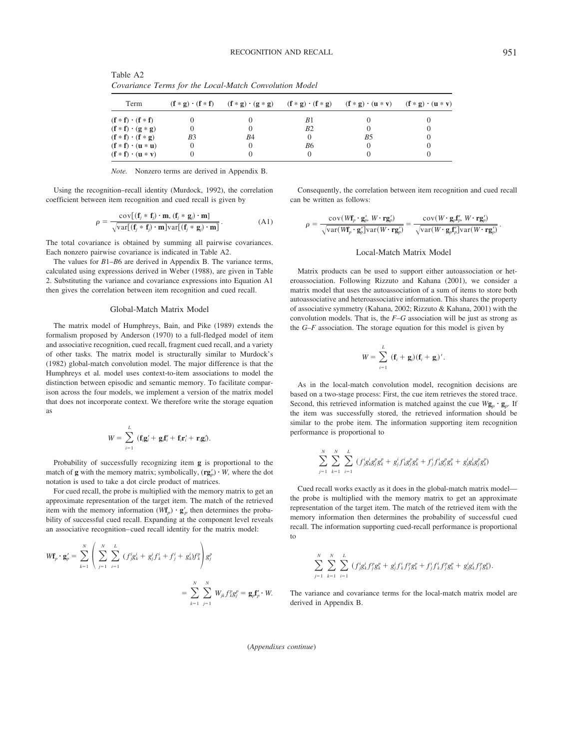| Term                    |    | $(f * g) \cdot (f * f)$ $(f * g) \cdot (g * g)$ |    | $(f * g) \cdot (f * g)$ $(f * g) \cdot (u * v)$ $(f * g) \cdot (u * v)$ |  |
|-------------------------|----|-------------------------------------------------|----|-------------------------------------------------------------------------|--|
| $(f * f) \cdot (f * f)$ |    |                                                 | B1 |                                                                         |  |
| $(f * f) \cdot (g * g)$ |    |                                                 | B2 |                                                                         |  |
| $(f * f) \cdot (f * g)$ | B3 | <i>B</i> 4                                      |    | B5                                                                      |  |
| $(f * f) \cdot (u * u)$ |    | $\left( \right)$                                | B6 |                                                                         |  |
| $(f * f) \cdot (u * v)$ |    |                                                 |    |                                                                         |  |

Table A2 *Covariance Terms for the Local-Match Convolution Model*

*Note.* Nonzero terms are derived in Appendix B.

Using the recognition–recall identity (Murdock, 1992), the correlation coefficient between item recognition and cued recall is given by

$$
\rho = \frac{\text{cov}[(\mathbf{f}_j * \mathbf{f}_j) \cdot \mathbf{m}, (\mathbf{f}_j * \mathbf{g}_j) \cdot \mathbf{m}]}{\sqrt{\text{var}[(\mathbf{f}_j * \mathbf{f}_j) \cdot \mathbf{m}]\text{var}[(\mathbf{f}_j * \mathbf{g}_j) \cdot \mathbf{m}]}}.
$$
(A1)

The total covariance is obtained by summing all pairwise covariances. Each nonzero pairwise covariance is indicated in Table A2.

The values for *B*1–*B*6 are derived in Appendix B. The variance terms, calculated using expressions derived in Weber (1988), are given in Table 2. Substituting the variance and covariance expressions into Equation A1 then gives the correlation between item recognition and cued recall.

#### Global-Match Matrix Model

The matrix model of Humphreys, Bain, and Pike (1989) extends the formalism proposed by Anderson (1970) to a full-fledged model of item and associative recognition, cued recall, fragment cued recall, and a variety of other tasks. The matrix model is structurally similar to Murdock's (1982) global-match convolution model. The major difference is that the Humphreys et al. model uses context-to-item associations to model the distinction between episodic and semantic memory. To facilitate comparison across the four models, we implement a version of the matrix model that does not incorporate context. We therefore write the storage equation as

$$
W = \sum_{i=1}^{L} (\mathbf{f}_i \mathbf{g}_i' + \mathbf{g}_i \mathbf{f}_i' + \mathbf{f}_i \mathbf{r}_i' + \mathbf{r}_i \mathbf{g}_i').
$$

Probability of successfully recognizing item **g** is proportional to the match of **g** with the memory matrix; symbolically,  $(\mathbf{rg}_p') \cdot W$ , where the dot notation is used to take a dot circle product of matrices.

For cued recall, the probe is multiplied with the memory matrix to get an approximate representation of the target item. The match of the retrieved item with the memory information  $(Wf_p) \cdot g'_p$  then determines the probability of successful cued recall. Expanding at the component level reveals an associative recognition–cued recall identity for the matrix model:

$$
Wf_p \cdot g'_p = \sum_{k=1}^N \left( \sum_{j=1}^N \sum_{i=1}^L (f'_j g'_k + g'_j f'_k + f'_j + g'_k) f''_k \right) g''_j
$$
  
= 
$$
\sum_{k=1}^N \sum_{j=1}^N W_{jk} f''_k g''_j = g_p f'_p \cdot W.
$$

Consequently, the correlation between item recognition and cued recall can be written as follows:

$$
\rho = \frac{\text{cov}(W\mathbf{f}_p \cdot \mathbf{g}'_{p} \cdot W \cdot \mathbf{r}\mathbf{g}'_{p})}{\sqrt{\text{var}(W\mathbf{f}_p \cdot \mathbf{g}'_{p}]\text{var}(W \cdot \mathbf{r}\mathbf{g}'_{p})}} = \frac{\text{cov}(W \cdot \mathbf{g}_p \mathbf{f}'_{p} \cdot W \cdot \mathbf{r}\mathbf{g}'_{p})}{\sqrt{\text{var}(W \cdot \mathbf{g}_p \mathbf{f}'_{p}]\text{var}(W \cdot \mathbf{r}\mathbf{g}'_{p})}}
$$

### Local-Match Matrix Model

Matrix products can be used to support either autoassociation or heteroassociation. Following Rizzuto and Kahana (2001), we consider a matrix model that uses the autoassociation of a sum of items to store both autoassociative and heteroassociative information. This shares the property of associative symmetry (Kahana, 2002; Rizzuto & Kahana, 2001) with the convolution models. That is, the *F*–*G* association will be just as strong as the *G*–*F* association. The storage equation for this model is given by

$$
W = \sum_{i=1}^{L} (\mathbf{f}_i + \mathbf{g}_i)(\mathbf{f}_i + \mathbf{g}_i)'.
$$

As in the local-match convolution model, recognition decisions are based on a two-stage process: First, the cue item retrieves the stored trace. Second, this retrieved information is matched against the cue  $W\mathbf{g}_p \cdot \mathbf{g}_p$ . If the item was successfully stored, the retrieved information should be similar to the probe item. The information supporting item recognition performance is proportional to

$$
\sum_{j=1}^{N} \sum_{k=1}^{N} \sum_{i=1}^{L} (f_{j}^{i}g_{k}^{i}g_{k}^{p} + g_{j}^{i}f_{k}^{i}g_{j}^{p}g_{k}^{p} + f_{j}^{i}f_{k}^{i}g_{j}^{p}g_{k}^{p} + g_{j}^{i}g_{k}^{i}g_{j}^{p}g_{k}^{p})
$$

Cued recall works exactly as it does in the global-match matrix model the probe is multiplied with the memory matrix to get an approximate representation of the target item. The match of the retrieved item with the memory information then determines the probability of successful cued recall. The information supporting cued-recall performance is proportional to

$$
\sum_{j=1}^N \sum_{k=1}^N \sum_{i=1}^L (f_j^i g_k^i f_j^p g_k^p + g_j^i f_k^i f_j^p g_k^p + f_j^i f_k^i f_j^p g_k^p + g_j^i g_k^i f_j^p g_k^p).
$$

The variance and covariance terms for the local-match matrix model are derived in Appendix B.

(*Appendixes continue*)

.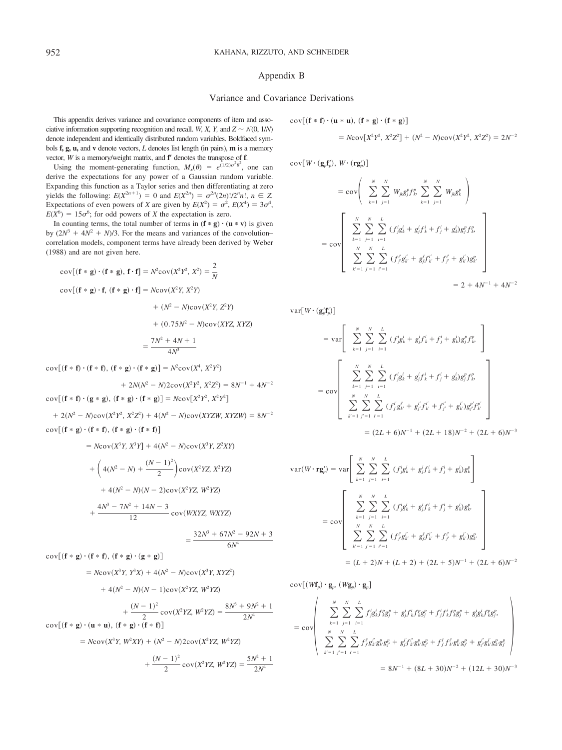# Appendix B

# Variance and Covariance Derivations

This appendix derives variance and covariance components of item and associative information supporting recognition and recall. *W, X, Y,* and  $Z \sim \mathcal{N}(0, 1/N)$ denote independent and identically distributed random variables. Boldfaced symbols **f, g, u,** and **v** denote vectors, *L* denotes list length (in pairs), **m** is a memory vector, *W* is a memory/weight matrix, and **f**' denotes the transpose of **f**.

Using the moment-generating function,  $M_x(\theta) = e^{(1/2)\sigma^2 \theta^2}$ , one can derive the expectations for any power of a Gaussian random variable. Expanding this function as a Taylor series and then differentiating at zero yields the following:  $E(X^{2n+1}) = 0$  and  $E(X^{2n}) = \sigma^{2n}(2n)!/2^{n}n!$ ,  $n \in \mathbb{Z}$ . Expectations of even powers of *X* are given by  $E(X^2) = \sigma^2$ ,  $E(X^4) = 3\sigma^4$ ,  $E(X^6) = 15\sigma^6$ ; for odd powers of *X* the expectation is zero.

In counting terms, the total number of terms in  $(f * g) \cdot (u * v)$  is given by  $(2N^3 + 4N^2 + N)/3$ . For the means and variances of the convolution– correlation models, component terms have already been derived by Weber (1988) and are not given here.

$$
cov[(\mathbf{f} * \mathbf{g}) \cdot (\mathbf{f} * \mathbf{g}), \mathbf{f} \cdot \mathbf{f}] = N^2 cov(X^2 Y^2, X^2) = \frac{2}{N}
$$
  
\n
$$
cov[(\mathbf{f} * \mathbf{g}) \cdot \mathbf{f}, (\mathbf{f} * \mathbf{g}) \cdot \mathbf{f}] = Ncov(X^2 Y, X^2 Y)
$$
  
\n
$$
+ (N^2 - N)cov(X^2 Y, Z^2 Y)
$$
  
\n
$$
+ (0.75N^2 - N)cov(X Y Z, XYZ)
$$
  
\n
$$
= \frac{7N^2 + 4N + 1}{4N^3}
$$

 $cov[(\mathbf{f} * \mathbf{f}) \cdot (\mathbf{f} * \mathbf{f}), (\mathbf{f} * \mathbf{g}) \cdot (\mathbf{f} * \mathbf{g})] = N^2 cov(X^4, X^2 Y^2)$ 

$$
+ 2N(N^2 - N)2\text{cov}(X^2Y^2, X^2Z^2) = 8N^{-1} + 4N^{-2}
$$

 $cov[(\mathbf{f} * \mathbf{f}) \cdot (\mathbf{g} * \mathbf{g}), (\mathbf{f} * \mathbf{g}) \cdot (\mathbf{f} * \mathbf{g})] = Ncov[X^2Y^2, X^2Y^2]$ 

+ 2(
$$
N^2 - N
$$
)cov( $X^2Y^2$ ,  $X^2Z^2$ ) + 4( $N^2 - N$ )cov( $XYZW$ ,  $XYZW$ ) =  $8N^{-2}$   
cov[( $f * g$ ) · ( $f * f$ ), ( $f * g$ ) · ( $f * f$ )]

$$
= N\text{cov}(X^{3}Y, X^{3}Y) + 4(N^{2} - N)\text{cov}(X^{3}Y, Z^{2}XY)
$$
  
+ 
$$
\left( 4(N^{2} - N) + \frac{(N-1)^{2}}{2} \right) \text{cov}(X^{2}YZ, X^{2}YZ)
$$
  
+ 
$$
4(N^{2} - N)(N - 2)\text{cov}(X^{2}YZ, W^{2}YZ)
$$
  
+ 
$$
\frac{4N^{3} - 7N^{2} + 14N - 3}{12} \text{cov}(WXYZ, WXYZ)
$$

$$
\frac{1}{2} \qquad \qquad \text{cov}(WXYZ, WXYZ) \\
= \frac{32N^3 + 67N^2 - 92N + 3}{6N^4}
$$

 $cov[(\mathbf{f} * \mathbf{g}) \cdot (\mathbf{f} * \mathbf{f}), (\mathbf{f} * \mathbf{g}) \cdot (\mathbf{g} * \mathbf{g})]$ 

-

= 
$$
Ncov(X^3Y, Y^3X) + 4(N^2 - N)cov(X^3Y, XYZ^2)
$$
  
+  $4(N^2 - N)(N - 1)cov(X^2YZ, W^2YZ)$   
+  $\frac{(N-1)^2}{2}cov(X^2YZ, W^2YZ) = \frac{8N^3 + 9N^2 + 1}{2N^4}$   
 $cov[(\mathbf{f} * \mathbf{g}) \cdot (\mathbf{u} * \mathbf{u}), (\mathbf{f} * \mathbf{g}) \cdot (\mathbf{f} * \mathbf{f})]$ 

$$
= N \text{cov}(X^{3}Y, W^{2}XY) + (N^{2} - N)2 \text{cov}(X^{2}YZ, W^{2}YZ)
$$

$$
+ \frac{(N-1)^{2}}{2} \text{cov}(X^{2}YZ, W^{2}YZ) = \frac{5N^{2} + 1}{2N^{4}}
$$

 $cov[(\mathbf{f} * \mathbf{f}) \cdot (\mathbf{u} * \mathbf{u}), (\mathbf{f} * \mathbf{g}) \cdot (\mathbf{f} * \mathbf{g})]$ 

$$
= N \text{cov}[X^2 Y^2, X^2 Z^2] + (N^2 - N) \text{cov}(X^2 Y^2, X^2 Z^2) = 2N^{-2}
$$

 $cov[W \cdot (\mathbf{g}_p \mathbf{f}'_p), W \cdot (\mathbf{r} \mathbf{g}'_p)]$ 

$$
= \text{cov}\left(\sum_{k=1}^{N} \sum_{j=1}^{N} W_{jk} g_j^p f_k^p \sum_{k=1}^{N} \sum_{j=1}^{N} W_{jk} g_k^p \right)
$$
  

$$
= \text{cov}\left[\sum_{k=1}^{N} \sum_{j=1}^{N} \sum_{i=1}^{L} (f_j^i g_k^i + g_j^i f_k^i + f_j^i + g_k^i) g_j^p f_k^p \sum_{k'=1}^{N} \sum_{j'=1}^{N} (f_j^i g_{k'}^i + g_j^i f_k^i + f_j^i + g_k^i) g_k^p \right]
$$
  

$$
= 2 + 4N^{-1} + 4N^{-2}
$$

 $var[W \cdot (\mathbf{g}'_p \mathbf{f}'_p)]$ 

$$
= \text{var}\left[\sum_{k=1}^{N} \sum_{j=1}^{N} \sum_{i=1}^{L} (f_j^i g_k^i + g_j^i f_k^i + f_j^i + g_k^i) g_j^p f_k^p \right]
$$
  

$$
= \text{cov}\left[\sum_{k=1}^{N} \sum_{j=1}^{N} \sum_{i=1}^{L} (f_j^i g_k^i + g_j^i f_k^i + f_j^i + g_k^i) g_j^p f_k^p \right]
$$
  

$$
\sum_{k'=1}^{N} \sum_{j'=1}^{N} \sum_{i'=1}^{L} (f_j^i g_{k'}^i + g_j^i f_{k'}^i + f_j^i + g_{k'}^i) g_j^p f_{k'}^p \right]
$$
  

$$
= (2L + 6)N^{-1} + (2L + 18)N^{-2} + (2L + 6)N^{-3}
$$

$$
\text{var}(W \cdot \mathbf{rg}_{p}^{'} ) = \text{var}\left[\sum_{k=1}^{N} \sum_{j=1}^{N} \sum_{i=1}^{L} (f_{j}^{i}g_{k}^{i} + g_{j}^{i}f_{k}^{i} + f_{j}^{i} + g_{k}^{i})g_{k}^{p}\right]
$$
\n
$$
= \text{cov}\left[\sum_{k=1}^{N} \sum_{j=1}^{N} \sum_{i=1}^{L} (f_{j}^{i}g_{k}^{i} + g_{j}^{i}f_{k}^{i} + f_{j}^{i} + g_{k}^{i})g_{k}^{p}\right]
$$
\n
$$
= \sum_{k'=1}^{N} \sum_{j'=1}^{N} \sum_{i'=1}^{L} (f_{j}^{i'}g_{k}^{i'} + g_{j}^{i'}f_{k}^{i'} + f_{j}^{i'} + g_{k}^{i'})g_{k}^{p}\right]
$$
\n
$$
= (L+2)N + (L+2) + (2L+5)N^{-1} + (2L+6)N^{-2}
$$

 $cov[(W\mathbf{f}_p) \cdot \mathbf{g}_p, (W\mathbf{g}_p) \cdot \mathbf{g}_p]$ 

$$
= \text{cov}\left(\sum_{k=1}^{N} \sum_{j=1}^{N} \sum_{i=1}^{L} f_{j}^{i} g_{k}^{i} f_{k}^{p} g_{j}^{p} + g_{j}^{i} f_{k}^{i} f_{k}^{p} g_{j}^{p} + f_{j}^{i} f_{k}^{i} f_{k}^{p} g_{j}^{p} + g_{j}^{i} g_{k}^{i} f_{k}^{p} g_{j}^{p},\newline \sum_{k'=1}^{N} \sum_{j'=1}^{L} f_{j}^{i} g_{k}^{i} g_{k}^{p} g_{j}^{p} + g_{j}^{i} f_{k}^{i} g_{k}^{p} g_{j}^{p} + f_{j}^{i} f_{k}^{i} g_{k}^{p} g_{j}^{p} + g_{j}^{i} g_{k}^{i} g_{k}^{p} g_{j}^{p}\right) = 8N^{-1} + (8L + 30)N^{-2} + (12L + 30)N^{-3}
$$